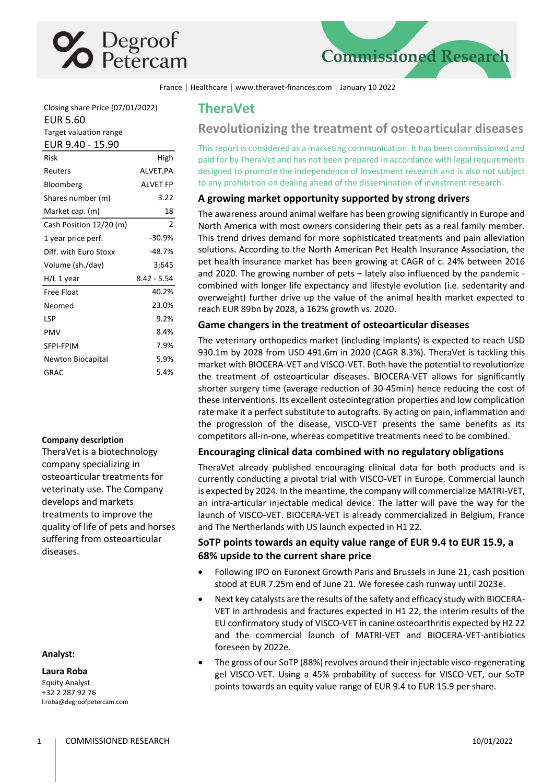



France │ Healthcare │ www.theravet-finances.com │ January 10 2022

Closing share Price (07/01/2022) EUR 5.60 Target valuation range

## EUR 9.40 - 15.90

| Risk                    | High           |
|-------------------------|----------------|
| Reuters                 | AI VFT.PA      |
| Bloomberg               | AI VFT FP      |
| Shares number (m)       | 3.22           |
| Market cap. (m)         | 18             |
| Cash Position 12/20 (m) | $\overline{2}$ |
| 1 year price perf.      | $-30.9%$       |
| Diff. with Euro Stoxx   | $-48.7%$       |
| Volume (sh./day)        | 3;645          |
| H/L 1 year              | $8.42 - 5.54$  |
| Free Float              | 40.2%          |
| Neomed                  | 23.0%          |
|                         |                |
| LSP                     | 9.2%           |
| PMV                     | 8.4%           |
| SFPI-FPIM               | 7.9%           |
| Newton Biocapital       | 5.9%           |

### **Company description**

TheraVet is a biotechnology company specializing in osteoarticular treatments for veterinaty use. The Company develops and markets treatments to improve the quality of life of pets and horses suffering from osteoarticular diseases.

#### **Analyst:**

**Laura Roba**

Equity Analyst +32 2 287 92 76 l.roba@degroofpetercam.com

## **TheraVet**

## **Revolutionizing the treatment of osteoarticular diseases**

This report is considered as a marketing communication. It has been commissioned and paid for by TheraVet and has not been prepared in accordance with legal requirements designed to promote the independence of investment research and is also not subject to any prohibition on dealing ahead of the dissemination of investment research.

## **A growing market opportunity supported by strong drivers**

The awareness around animal welfare has been growing significantly in Europe and North America with most owners considering their pets as a real family member. This trend drives demand for more sophisticated treatments and pain alleviation solutions. According to the North American Pet Health Insurance Association, the pet health insurance market has been growing at CAGR of c. 24% between 2016 and 2020. The growing number of pets – lately also influenced by the pandemic combined with longer life expectancy and lifestyle evolution (i.e. sedentarity and overweight) further drive up the value of the animal health market expected to reach EUR 89bn by 2028, a 162% growth vs. 2020.

## **Game changers in the treatment of osteoarticular diseases**

The veterinary orthopedics market (including implants) is expected to reach USD 930.1m by 2028 from USD 491.6m in 2020 (CAGR 8.3%). TheraVet is tackling this market with BIOCERA-VET and VISCO-VET. Both have the potential to revolutionize the treatment of osteoarticular diseases. BIOCERA-VET allows for significantly shorter surgery time (average reduction of 30-45min) hence reducing the cost of these interventions. Its excellent osteointegration properties and low complication rate make it a perfect substitute to autografts. By acting on pain, inflammation and the progression of the disease, VISCO-VET presents the same benefits as its competitors all-in-one, whereas competitive treatments need to be combined.

## **Encouraging clinical data combined with no regulatory obligations**

TheraVet already published encouraging clinical data for both products and is currently conducting a pivotal trial with VISCO-VET in Europe. Commercial launch is expected by 2024. In the meantime, the company will commercialize MATRI-VET, an intra-articular injectable medical device. The latter will pave the way for the launch of VISCO-VET. BIOCERA-VET is already commercialized in Belgium, France and The Nertherlands with US launch expected in H1 22.

## **SoTP points towards an equity value range of EUR 9.4 to EUR 15.9, a 68% upside to the current share price**

- Following IPO on Euronext Growth Paris and Brussels in June 21, cash position stood at EUR 7.25m end of June 21. We foresee cash runway until 2023e.
- Next key catalysts are the results of the safety and efficacy study with BIOCERA-VET in arthrodesis and fractures expected in H1 22, the interim results of the EU confirmatory study of VISCO-VET in canine osteoarthritis expected by H2 22 and the commercial launch of MATRI-VET and BIOCERA-VET-antibiotics foreseen by 2022e.
- The gross of our SoTP (88%) revolves around their injectable visco-regenerating gel VISCO-VET. Using a 45% probability of success for VISCO-VET, our SoTP points towards an equity value range of EUR 9.4 to EUR 15.9 per share.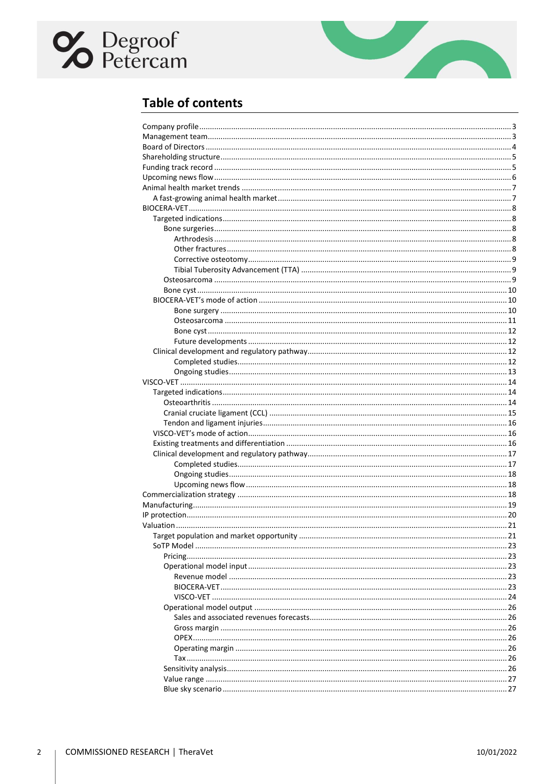# **C** Degroof



## **Table of contents**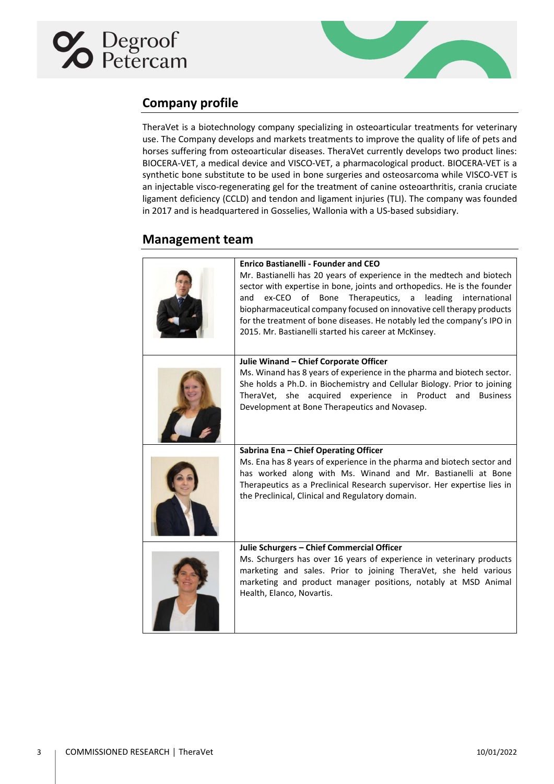<span id="page-2-0"></span>



## **Company profile**

TheraVet is a biotechnology company specializing in osteoarticular treatments for veterinary use. The Company develops and markets treatments to improve the quality of life of pets and horses suffering from osteoarticular diseases. TheraVet currently develops two product lines: BIOCERA-VET, a medical device and VISCO-VET, a pharmacological product. BIOCERA-VET is a synthetic bone substitute to be used in bone surgeries and osteosarcoma while VISCO-VET is an injectable visco-regenerating gel for the treatment of canine osteoarthritis, crania cruciate ligament deficiency (CCLD) and tendon and ligament injuries (TLI). The company was founded in 2017 and is headquartered in Gosselies, Wallonia with a US-based subsidiary.

## <span id="page-2-1"></span>**Management team**

| <b>Enrico Bastianelli - Founder and CEO</b><br>Mr. Bastianelli has 20 years of experience in the medtech and biotech<br>sector with expertise in bone, joints and orthopedics. He is the founder<br>leading<br>ex-CEO<br>of<br>Bone<br>Therapeutics,<br>international<br>and<br>a<br>biopharmaceutical company focused on innovative cell therapy products<br>for the treatment of bone diseases. He notably led the company's IPO in<br>2015. Mr. Bastianelli started his career at McKinsey. |
|------------------------------------------------------------------------------------------------------------------------------------------------------------------------------------------------------------------------------------------------------------------------------------------------------------------------------------------------------------------------------------------------------------------------------------------------------------------------------------------------|
| Julie Winand - Chief Corporate Officer<br>Ms. Winand has 8 years of experience in the pharma and biotech sector.<br>She holds a Ph.D. in Biochemistry and Cellular Biology. Prior to joining<br>TheraVet, she acquired experience in Product and<br><b>Business</b><br>Development at Bone Therapeutics and Novasep.                                                                                                                                                                           |
| Sabrina Ena - Chief Operating Officer<br>Ms. Ena has 8 years of experience in the pharma and biotech sector and<br>has worked along with Ms. Winand and Mr. Bastianelli at Bone<br>Therapeutics as a Preclinical Research supervisor. Her expertise lies in<br>the Preclinical, Clinical and Regulatory domain.                                                                                                                                                                                |
| Julie Schurgers - Chief Commercial Officer<br>Ms. Schurgers has over 16 years of experience in veterinary products<br>marketing and sales. Prior to joining TheraVet, she held various<br>marketing and product manager positions, notably at MSD Animal<br>Health, Elanco, Novartis.                                                                                                                                                                                                          |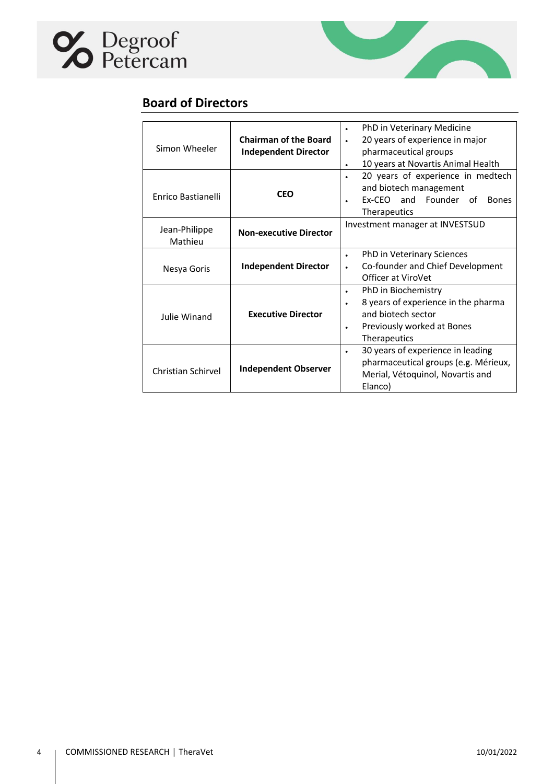<span id="page-3-0"></span>



## **Board of Directors**

| Simon Wheeler                              | <b>Chairman of the Board</b><br><b>Independent Director</b>      | PhD in Veterinary Medicine<br>$\bullet$<br>20 years of experience in major<br>pharmaceutical groups<br>10 years at Novartis Animal Health<br>$\bullet$ |
|--------------------------------------------|------------------------------------------------------------------|--------------------------------------------------------------------------------------------------------------------------------------------------------|
| Enrico Bastianelli                         | <b>CEO</b>                                                       | 20 years of experience in medtech<br>and biotech management<br>Ex-CEO and Founder of<br><b>Bones</b><br>Therapeutics                                   |
| Jean-Philippe<br>Mathieu                   | Investment manager at INVESTSUD<br><b>Non-executive Director</b> |                                                                                                                                                        |
| <b>Independent Director</b><br>Nesya Goris |                                                                  | PhD in Veterinary Sciences<br>$\bullet$<br>Co-founder and Chief Development<br>Officer at ViroVet                                                      |
| Julie Winand                               | <b>Executive Director</b>                                        | PhD in Biochemistry<br>8 years of experience in the pharma<br>٠<br>and biotech sector<br>Previously worked at Bones<br><b>Therapeutics</b>             |
| Christian Schirvel                         | <b>Independent Observer</b>                                      | 30 years of experience in leading<br>$\bullet$<br>pharmaceutical groups (e.g. Mérieux,<br>Merial, Vétoquinol, Novartis and<br>Elanco)                  |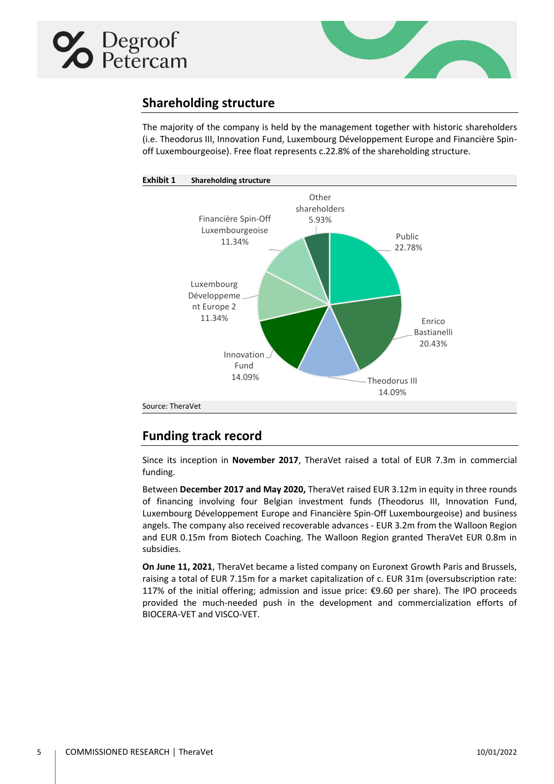<span id="page-4-0"></span>



## **Shareholding structure**

The majority of the company is held by the management together with historic shareholders (i.e. Theodorus III, Innovation Fund, Luxembourg Développement Europe and Financière Spinoff Luxembourgeoise). Free float represents c.22.8% of the shareholding structure.



## <span id="page-4-1"></span>**Funding track record**

Since its inception in **November 2017**, TheraVet raised a total of EUR 7.3m in commercial funding.

Between **December 2017 and May 2020,** TheraVet raised EUR 3.12m in equity in three rounds of financing involving four Belgian investment funds (Theodorus III, Innovation Fund, Luxembourg Développement Europe and Financière Spin-Off Luxembourgeoise) and business angels. The company also received recoverable advances - EUR 3.2m from the Walloon Region and EUR 0.15m from Biotech Coaching. The Walloon Region granted TheraVet EUR 0.8m in subsidies.

**On June 11, 2021**, TheraVet became a listed company on Euronext Growth Paris and Brussels, raising a total of EUR 7.15m for a market capitalization of c. EUR 31m (oversubscription rate: 117% of the initial offering; admission and issue price: €9.60 per share). The IPO proceeds provided the much-needed push in the development and commercialization efforts of BIOCERA-VET and VISCO-VET.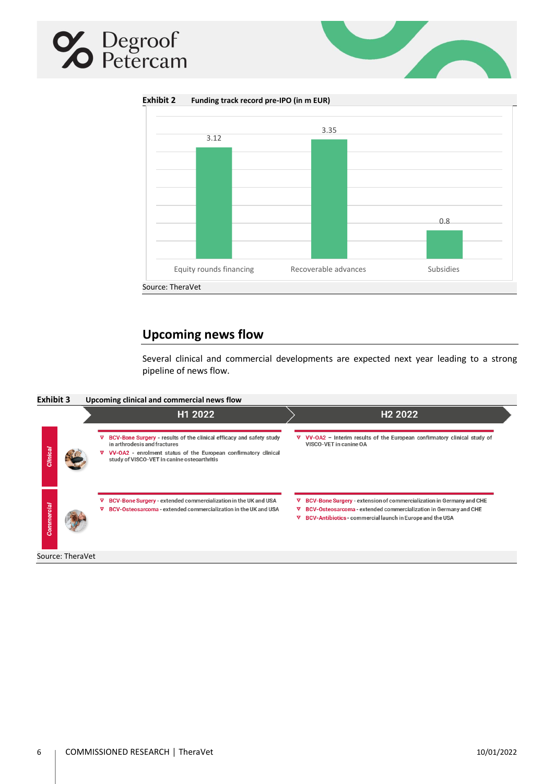## **X** Degroof



**Exhibit 2 Funding track record pre-IPO (in m EUR)**



## **Upcoming news flow**

Several clinical and commercial developments are expected next year leading to a strong pipeline of news flow.

<span id="page-5-0"></span>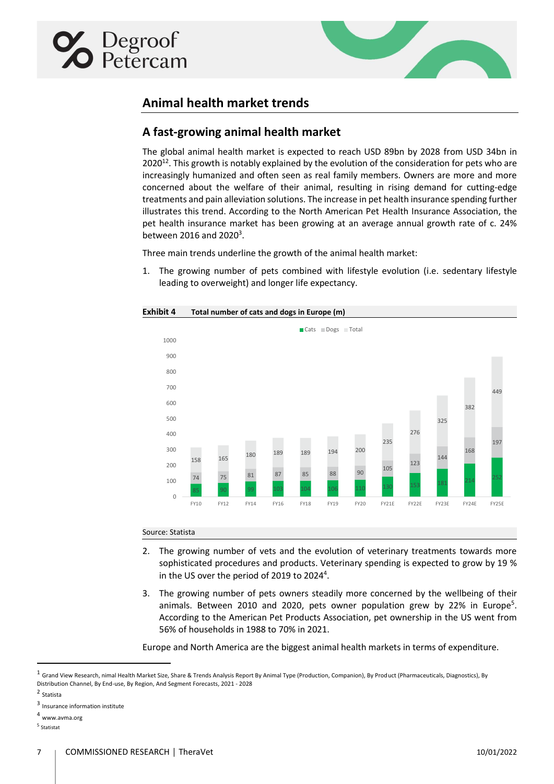<span id="page-6-1"></span><span id="page-6-0"></span>



## **Animal health market trends**

## **A fast-growing animal health market**

The global animal health market is expected to reach USD 89bn by 2028 from USD 34bn in 2020 $^{12}$ . This growth is notably explained by the evolution of the consideration for pets who are increasingly humanized and often seen as real family members. Owners are more and more concerned about the welfare of their animal, resulting in rising demand for cutting-edge treatments and pain alleviation solutions. The increase in pet health insurance spending further illustrates this trend. According to the North American Pet Health Insurance Association, the pet health insurance market has been growing at an average annual growth rate of c. 24% between 2016 and 2020 $^3$ .

Three main trends underline the growth of the animal health market:

1. The growing number of pets combined with lifestyle evolution (i.e. sedentary lifestyle leading to overweight) and longer life expectancy.



#### Source: Statista

- 2. The growing number of vets and the evolution of veterinary treatments towards more sophisticated procedures and products. Veterinary spending is expected to grow by 19 % in the US over the period of 2019 to 2024<sup>4</sup>.
- 3. The growing number of pets owners steadily more concerned by the wellbeing of their animals. Between 2010 and 2020, pets owner population grew by 22% in Europe<sup>5</sup>. According to the American Pet Products Association, pet ownership in the US went from 56% of households in 1988 to 70% in 2021.

Europe and North America are the biggest animal health markets in terms of expenditure.

2 Statista

 $^{\rm 1}$  Grand View Research, nimal Health Market Size, Share & Trends Analysis Report By Animal Type (Production, Companion), By Product (Pharmaceuticals, Diagnostics), By Distribution Channel, By End-use, By Region, And Segment Forecasts, 2021 - 2028

<sup>3</sup> Insurance information institute

<sup>4</sup> www.avma.org

<sup>5</sup> Statistat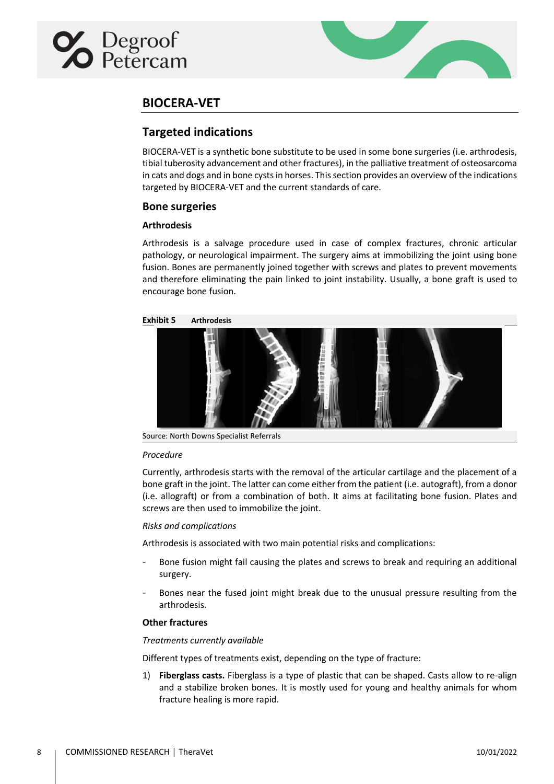<span id="page-7-1"></span><span id="page-7-0"></span>



## **BIOCERA-VET**

## **Targeted indications**

BIOCERA-VET is a synthetic bone substitute to be used in some bone surgeries (i.e. arthrodesis, tibial tuberosity advancement and other fractures), in the palliative treatment of osteosarcoma in cats and dogs and in bone cysts in horses. This section provides an overview of the indications targeted by BIOCERA-VET and the current standards of care.

## <span id="page-7-2"></span>**Bone surgeries**

## <span id="page-7-3"></span>**Arthrodesis**

Arthrodesis is a salvage procedure used in case of complex fractures, chronic articular pathology, or neurological impairment. The surgery aims at immobilizing the joint using bone fusion. Bones are permanently joined together with screws and plates to prevent movements and therefore eliminating the pain linked to joint instability. Usually, a bone graft is used to encourage bone fusion.



Source: North Downs Specialist Referrals

### *Procedure*

Currently, arthrodesis starts with the removal of the articular cartilage and the placement of a bone graft in the joint. The latter can come either from the patient (i.e. autograft), from a donor (i.e. allograft) or from a combination of both. It aims at facilitating bone fusion. Plates and screws are then used to immobilize the joint.

### *Risks and complications*

Arthrodesis is associated with two main potential risks and complications:

- Bone fusion might fail causing the plates and screws to break and requiring an additional surgery.
- Bones near the fused joint might break due to the unusual pressure resulting from the arthrodesis.

## <span id="page-7-4"></span>**Other fractures**

### *Treatments currently available*

Different types of treatments exist, depending on the type of fracture:

1) **Fiberglass casts.** Fiberglass is a type of plastic that can be shaped. Casts allow to re-align and a stabilize broken bones. It is mostly used for young and healthy animals for whom fracture healing is more rapid.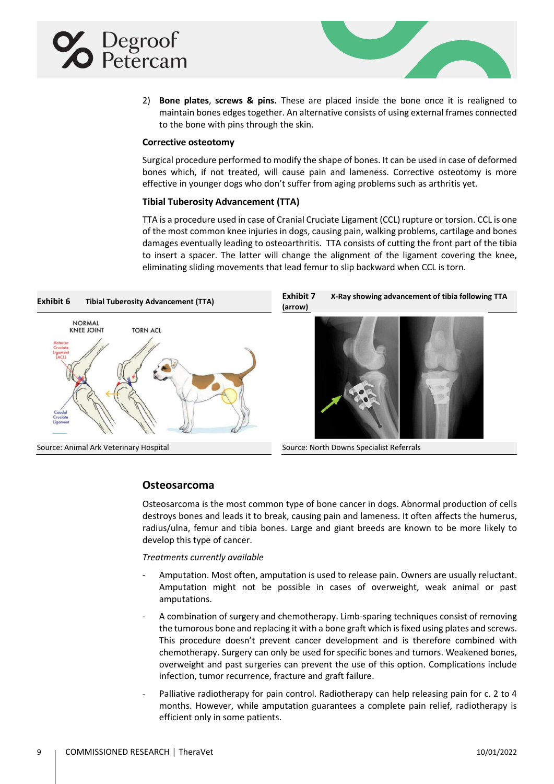<span id="page-8-0"></span>



2) **Bone plates**, **screws & pins.** These are placed inside the bone once it is realigned to maintain bones edges together. An alternative consists of using external frames connected to the bone with pins through the skin.

### **Corrective osteotomy**

Surgical procedure performed to modify the shape of bones. It can be used in case of deformed bones which, if not treated, will cause pain and lameness. Corrective osteotomy is more effective in younger dogs who don't suffer from aging problems such as arthritis yet.

### **Tibial Tuberosity Advancement (TTA)**

TTA is a procedure used in case of Cranial Cruciate Ligament (CCL) rupture or torsion. CCL is one of the most common knee injuries in dogs, causing pain, walking problems, cartilage and bones damages eventually leading to osteoarthritis. TTA consists of cutting the front part of the tibia to insert a spacer. The latter will change the alignment of the ligament covering the knee, eliminating sliding movements that lead femur to slip backward when CCL is torn.

<span id="page-8-1"></span>

**(arrow)**



## <span id="page-8-2"></span>**Osteosarcoma**

Osteosarcoma is the most common type of bone cancer in dogs. Abnormal production of cells destroys bones and leads it to break, causing pain and lameness. It often affects the humerus, radius/ulna, femur and tibia bones. Large and giant breeds are known to be more likely to develop this type of cancer.

### *Treatments currently available*

- Amputation. Most often, amputation is used to release pain. Owners are usually reluctant. Amputation might not be possible in cases of overweight, weak animal or past amputations.
- A combination of surgery and chemotherapy. Limb-sparing techniques consist of removing the tumorous bone and replacing it with a bone graft which is fixed using plates and screws. This procedure doesn't prevent cancer development and is therefore combined with chemotherapy. Surgery can only be used for specific bones and tumors. Weakened bones, overweight and past surgeries can prevent the use of this option. Complications include infection, tumor recurrence, fracture and graft failure.
- Palliative radiotherapy for pain control. Radiotherapy can help releasing pain for c. 2 to 4 months. However, while amputation guarantees a complete pain relief, radiotherapy is efficient only in some patients.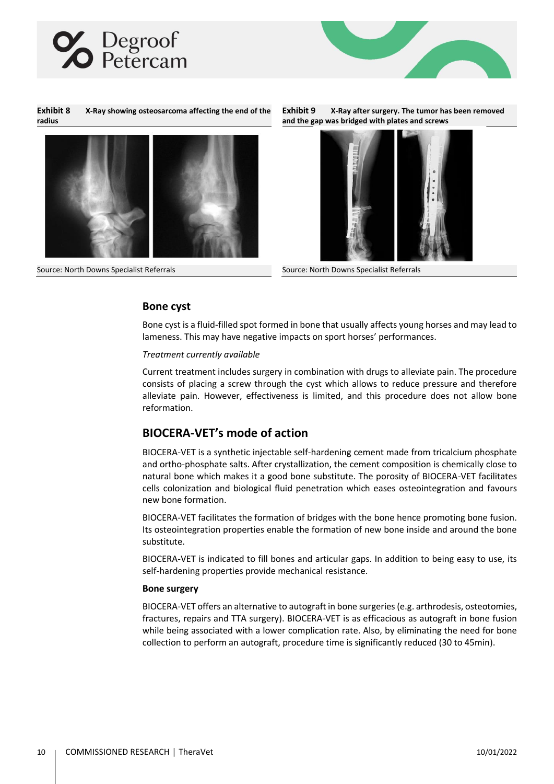



**Exhibit 8 X-Ray showing osteosarcoma affecting the end of the radius**







Source: North Downs Specialist Referrals Source: North Downs Specialist Referrals

## <span id="page-9-0"></span>**Bone cyst**

Bone cyst is a fluid-filled spot formed in bone that usually affects young horses and may lead to lameness. This may have negative impacts on sport horses' performances.

#### *Treatment currently available*

Current treatment includes surgery in combination with drugs to alleviate pain. The procedure consists of placing a screw through the cyst which allows to reduce pressure and therefore alleviate pain. However, effectiveness is limited, and this procedure does not allow bone reformation.

## <span id="page-9-1"></span>**BIOCERA-VET's mode of action**

BIOCERA-VET is a synthetic injectable self-hardening cement made from tricalcium phosphate and ortho-phosphate salts. After crystallization, the cement composition is chemically close to natural bone which makes it a good bone substitute. The porosity of BIOCERA-VET facilitates cells colonization and biological fluid penetration which eases osteointegration and favours new bone formation.

BIOCERA-VET facilitates the formation of bridges with the bone hence promoting bone fusion. Its osteointegration properties enable the formation of new bone inside and around the bone substitute.

BIOCERA-VET is indicated to fill bones and articular gaps. In addition to being easy to use, its self-hardening properties provide mechanical resistance.

### <span id="page-9-2"></span>**Bone surgery**

BIOCERA-VET offers an alternative to autograft in bone surgeries(e.g. arthrodesis, osteotomies, fractures, repairs and TTA surgery). BIOCERA-VET is as efficacious as autograft in bone fusion while being associated with a lower complication rate. Also, by eliminating the need for bone collection to perform an autograft, procedure time is significantly reduced (30 to 45min).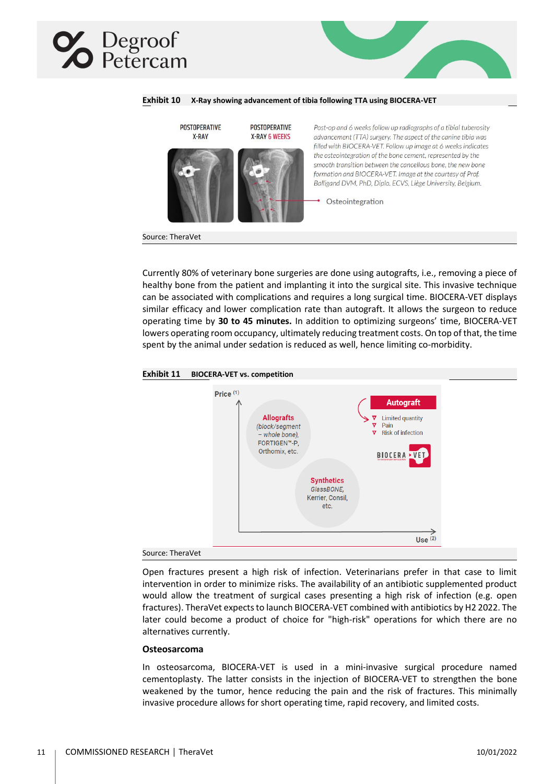## Degroof<br>Petercam



**Exhibit 10 X-Ray showing advancement of tibia following TTA using BIOCERA-VET**

Currently 80% of veterinary bone surgeries are done using autografts, i.e., removing a piece of healthy bone from the patient and implanting it into the surgical site. This invasive technique can be associated with complications and requires a long surgical time. BIOCERA-VET displays similar efficacy and lower complication rate than autograft. It allows the surgeon to reduce operating time by **30 to 45 minutes.** In addition to optimizing surgeons' time, BIOCERA-VET lowers operating room occupancy, ultimately reducing treatment costs. On top of that, the time spent by the animal under sedation is reduced as well, hence limiting co-morbidity.





Open fractures present a high risk of infection. Veterinarians prefer in that case to limit intervention in order to minimize risks. The availability of an antibiotic supplemented product would allow the treatment of surgical cases presenting a high risk of infection (e.g. open fractures). TheraVet expects to launch BIOCERA-VET combined with antibiotics by H2 2022. The later could become a product of choice for "high-risk" operations for which there are no alternatives currently.

#### <span id="page-10-0"></span>**Osteosarcoma**

In osteosarcoma, BIOCERA-VET is used in a mini-invasive surgical procedure named cementoplasty. The latter consists in the injection of BIOCERA-VET to strengthen the bone weakened by the tumor, hence reducing the pain and the risk of fractures. This minimally invasive procedure allows for short operating time, rapid recovery, and limited costs.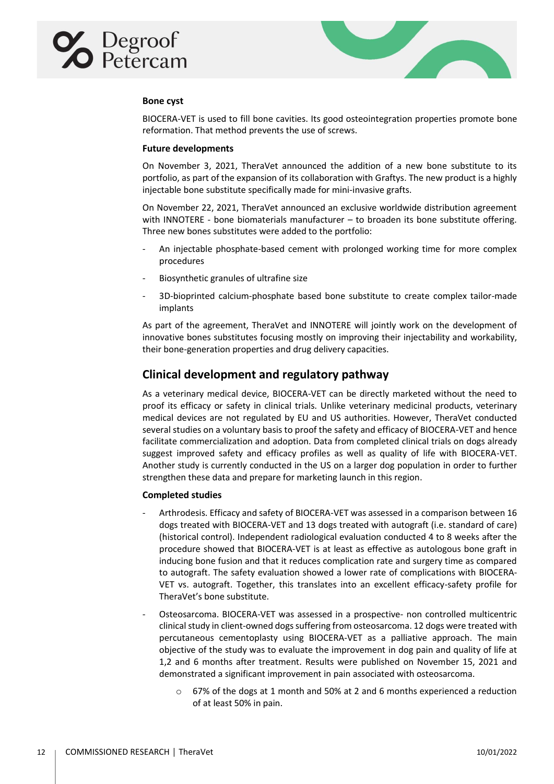<span id="page-11-0"></span>



## **Bone cyst**

BIOCERA-VET is used to fill bone cavities. Its good osteointegration properties promote bone reformation. That method prevents the use of screws.

#### <span id="page-11-1"></span>**Future developments**

On November 3, 2021, TheraVet announced the addition of a new bone substitute to its portfolio, as part of the expansion of its collaboration with Graftys. The new product is a highly injectable bone substitute specifically made for mini-invasive grafts.

On November 22, 2021, TheraVet announced an exclusive worldwide distribution agreement with INNOTERE - bone biomaterials manufacturer – to broaden its bone substitute offering. Three new bones substitutes were added to the portfolio:

- An injectable phosphate-based cement with prolonged working time for more complex procedures
- Biosynthetic granules of ultrafine size
- 3D-bioprinted calcium-phosphate based bone substitute to create complex tailor-made implants

As part of the agreement, TheraVet and INNOTERE will jointly work on the development of innovative bones substitutes focusing mostly on improving their injectability and workability, their bone-generation properties and drug delivery capacities.

## <span id="page-11-2"></span>**Clinical development and regulatory pathway**

As a veterinary medical device, BIOCERA-VET can be directly marketed without the need to proof its efficacy or safety in clinical trials. Unlike veterinary medicinal products, veterinary medical devices are not regulated by EU and US authorities. However, TheraVet conducted several studies on a voluntary basis to proof the safety and efficacy of BIOCERA-VET and hence facilitate commercialization and adoption. Data from completed clinical trials on dogs already suggest improved safety and efficacy profiles as well as quality of life with BIOCERA-VET. Another study is currently conducted in the US on a larger dog population in order to further strengthen these data and prepare for marketing launch in this region.

### <span id="page-11-3"></span>**Completed studies**

- Arthrodesis. Efficacy and safety of BIOCERA-VET was assessed in a comparison between 16 dogs treated with BIOCERA-VET and 13 dogs treated with autograft (i.e. standard of care) (historical control). Independent radiological evaluation conducted 4 to 8 weeks after the procedure showed that BIOCERA-VET is at least as effective as autologous bone graft in inducing bone fusion and that it reduces complication rate and surgery time as compared to autograft. The safety evaluation showed a lower rate of complications with BIOCERA-VET vs. autograft. Together, this translates into an excellent efficacy-safety profile for TheraVet's bone substitute.
- Osteosarcoma. BIOCERA-VET was assessed in a prospective- non controlled multicentric clinical study in client-owned dogs suffering from osteosarcoma. 12 dogs were treated with percutaneous cementoplasty using BIOCERA-VET as a palliative approach. The main objective of the study was to evaluate the improvement in dog pain and quality of life at 1,2 and 6 months after treatment. Results were published on November 15, 2021 and demonstrated a significant improvement in pain associated with osteosarcoma.
	- o 67% of the dogs at 1 month and 50% at 2 and 6 months experienced a reduction of at least 50% in pain.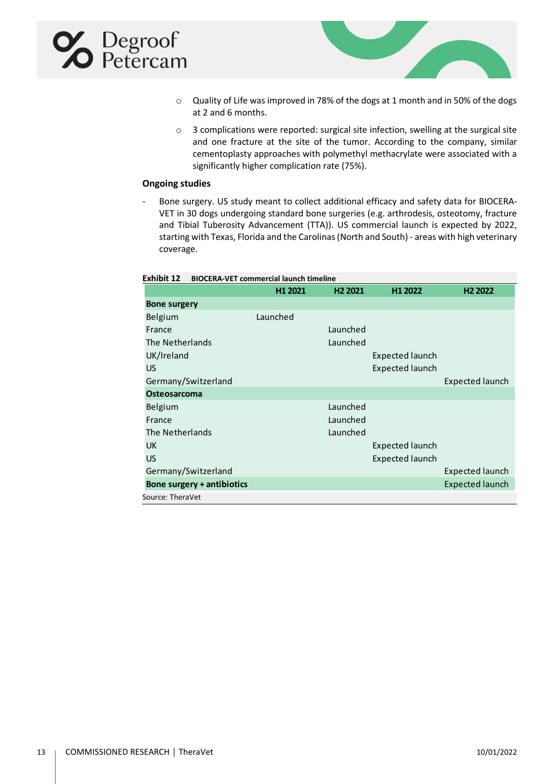## **X** Degroof



- o Quality of Life was improved in 78% of the dogs at 1 month and in 50% of the dogs at 2 and 6 months.
- o 3 complications were reported: surgical site infection, swelling at the surgical site and one fracture at the site of the tumor. According to the company, similar cementoplasty approaches with polymethyl methacrylate were associated with a significantly higher complication rate (75%).

## <span id="page-12-0"></span>**Ongoing studies**

- Bone surgery. US study meant to collect additional efficacy and safety data for BIOCERA-VET in 30 dogs undergoing standard bone surgeries (e.g. arthrodesis, osteotomy, fracture and Tibial Tuberosity Advancement (TTA)). US commercial launch is expected by 2022, starting with Texas, Florida and the Carolinas (North and South) - areas with high veterinary coverage.

| Exhibit 12<br><b>BIOCERA-VET commercial launch timeline</b> |          |                     |                        |                        |
|-------------------------------------------------------------|----------|---------------------|------------------------|------------------------|
|                                                             | H1 2021  | H <sub>2</sub> 2021 | H1 2022                | H <sub>2</sub> 2022    |
| <b>Bone surgery</b>                                         |          |                     |                        |                        |
| Belgium                                                     | Launched |                     |                        |                        |
| France                                                      |          | Launched            |                        |                        |
| The Netherlands                                             |          | Launched            |                        |                        |
| UK/Ireland                                                  |          |                     | Expected launch        |                        |
| <b>US</b>                                                   |          |                     | <b>Expected launch</b> |                        |
| Germany/Switzerland                                         |          |                     |                        | <b>Expected launch</b> |
| <b>Osteosarcoma</b>                                         |          |                     |                        |                        |
| Belgium                                                     |          | Launched            |                        |                        |
| France                                                      |          | Launched            |                        |                        |
| The Netherlands                                             |          | Launched            |                        |                        |
| <b>UK</b>                                                   |          |                     | <b>Expected launch</b> |                        |
| <b>US</b>                                                   |          |                     | <b>Expected launch</b> |                        |
| Germany/Switzerland                                         |          |                     |                        | <b>Expected launch</b> |
| Bone surgery + antibiotics                                  |          |                     |                        | <b>Expected launch</b> |
| Source: TheraVet                                            |          |                     |                        |                        |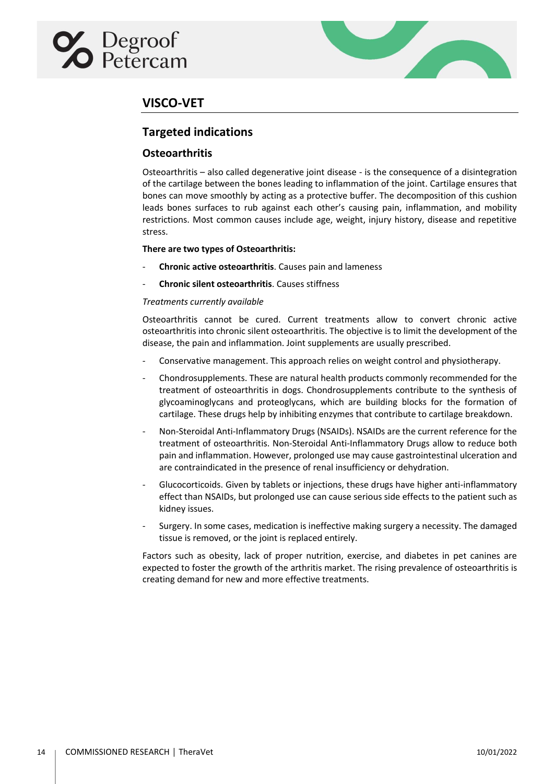# <span id="page-13-1"></span><span id="page-13-0"></span>Degroof<br>Detercam



## **VISCO-VET**

## **Targeted indications**

## <span id="page-13-2"></span>**Osteoarthritis**

Osteoarthritis – also called degenerative joint disease - is the consequence of a disintegration of the cartilage between the bones leading to inflammation of the joint. Cartilage ensures that bones can move smoothly by acting as a protective buffer. The decomposition of this cushion leads bones surfaces to rub against each other's causing pain, inflammation, and mobility restrictions. Most common causes include age, weight, injury history, disease and repetitive stress.

## **There are two types of Osteoarthritis:**

- **Chronic active osteoarthritis**. Causes pain and lameness
- **Chronic silent osteoarthritis**. Causes stiffness

## *Treatments currently available*

Osteoarthritis cannot be cured. Current treatments allow to convert chronic active osteoarthritis into chronic silent osteoarthritis. The objective is to limit the development of the disease, the pain and inflammation. Joint supplements are usually prescribed.

- Conservative management. This approach relies on weight control and physiotherapy.
- Chondrosupplements. These are natural health products commonly recommended for the treatment of osteoarthritis in dogs. Chondrosupplements contribute to the synthesis of glycoaminoglycans and proteoglycans, which are building blocks for the formation of cartilage. These drugs help by inhibiting enzymes that contribute to cartilage breakdown.
- Non-Steroidal Anti-Inflammatory Drugs (NSAIDs). NSAIDs are the current reference for the treatment of osteoarthritis. Non-Steroidal Anti-Inflammatory Drugs allow to reduce both pain and inflammation. However, prolonged use may cause gastrointestinal ulceration and are contraindicated in the presence of renal insufficiency or dehydration.
- Glucocorticoids. Given by tablets or injections, these drugs have higher anti-inflammatory effect than NSAIDs, but prolonged use can cause serious side effects to the patient such as kidney issues.
- Surgery. In some cases, medication is ineffective making surgery a necessity. The damaged tissue is removed, or the joint is replaced entirely.

Factors such as obesity, lack of proper nutrition, exercise, and diabetes in pet canines are expected to foster the growth of the arthritis market. The rising prevalence of osteoarthritis is creating demand for new and more effective treatments.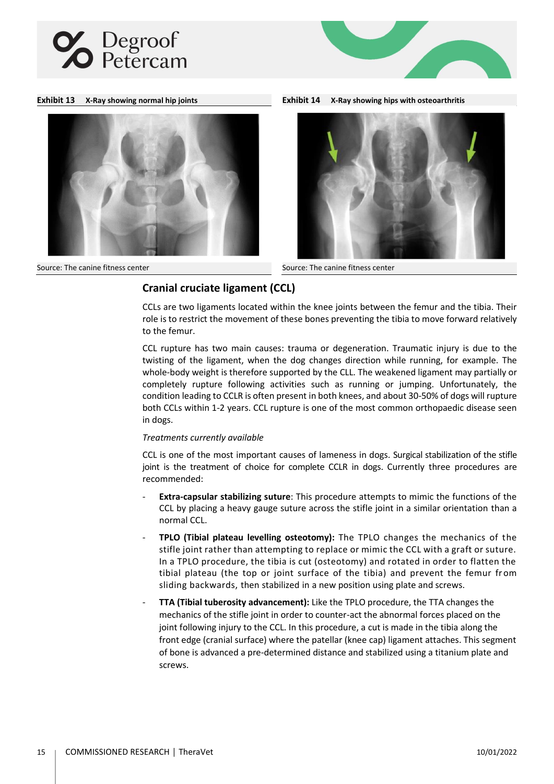





**Exhibit 13 X-Ray showing normal hip joints Exhibit 14 X-Ray showing hips with osteoarthritis** 



Source: The canine fitness center Source: The canine fitness center

## <span id="page-14-0"></span>**Cranial cruciate ligament (CCL)**

CCLs are two ligaments located within the knee joints between the femur and the tibia. Their role is to restrict the movement of these bones preventing the tibia to move forward relatively to the femur.

CCL rupture has two main causes: trauma or degeneration. Traumatic injury is due to the twisting of the ligament, when the dog changes direction while running, for example. The whole-body weight is therefore supported by the CLL. The weakened ligament may partially or completely rupture following activities such as running or jumping. Unfortunately, the condition leading to CCLR is often present in both knees, and about 30-50% of dogs will rupture both CCLs within 1-2 years. CCL rupture is one of the most common orthopaedic disease seen in dogs.

## *Treatments currently available*

CCL is one of the most important causes of lameness in dogs. Surgical stabilization of the stifle joint is the treatment of choice for complete CCLR in dogs. Currently three procedures are recommended:

- **Extra-capsular stabilizing suture**: This procedure attempts to mimic the functions of the CCL by placing a heavy gauge suture across the stifle joint in a similar orientation than a normal CCL.
- **TPLO (Tibial plateau levelling osteotomy):** The TPLO changes the mechanics of the stifle joint rather than attempting to replace or mimic the CCL with a graft or suture. In a TPLO procedure, the tibia is cut (osteotomy) and rotated in order to flatten the tibial plateau (the top or joint surface of the tibia) and prevent the femur from sliding backwards, then stabilized in a new position using plate and screws.
- **TTA (Tibial tuberosity advancement):** Like the TPLO procedure, the TTA changes the mechanics of the stifle joint in order to counter-act the abnormal forces placed on the joint following injury to the CCL. In this procedure, a cut is made in the tibia along the front edge (cranial surface) where the patellar (knee cap) ligament attaches. This segment of bone is advanced a pre-determined distance and stabilized using a titanium plate and screws.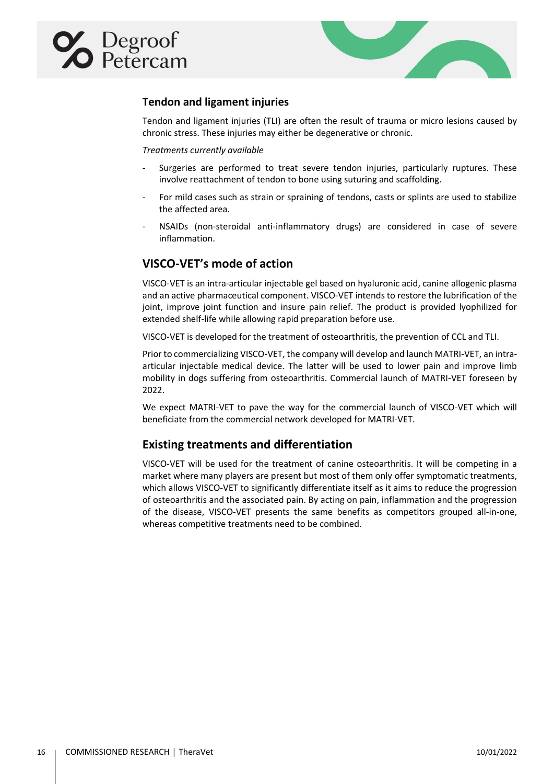<span id="page-15-0"></span>



## **Tendon and ligament injuries**

Tendon and ligament injuries (TLI) are often the result of trauma or micro lesions caused by chronic stress. These injuries may either be degenerative or chronic.

## *Treatments currently available*

- Surgeries are performed to treat severe tendon injuries, particularly ruptures. These involve reattachment of tendon to bone using suturing and scaffolding.
- For mild cases such as strain or spraining of tendons, casts or splints are used to stabilize the affected area.
- NSAIDs (non-steroidal anti-inflammatory drugs) are considered in case of severe inflammation.

## <span id="page-15-1"></span>**VISCO-VET's mode of action**

VISCO-VET is an intra-articular injectable gel based on hyaluronic acid, canine allogenic plasma and an active pharmaceutical component. VISCO-VET intends to restore the lubrification of the joint, improve joint function and insure pain relief. The product is provided lyophilized for extended shelf-life while allowing rapid preparation before use.

VISCO-VET is developed for the treatment of osteoarthritis, the prevention of CCL and TLI.

Prior to commercializing VISCO-VET, the company will develop and launch MATRI-VET, an intraarticular injectable medical device. The latter will be used to lower pain and improve limb mobility in dogs suffering from osteoarthritis. Commercial launch of MATRI-VET foreseen by 2022.

We expect MATRI-VET to pave the way for the commercial launch of VISCO-VET which will beneficiate from the commercial network developed for MATRI-VET.

## <span id="page-15-2"></span>**Existing treatments and differentiation**

VISCO-VET will be used for the treatment of canine osteoarthritis. It will be competing in a market where many players are present but most of them only offer symptomatic treatments, which allows VISCO-VET to significantly differentiate itself as it aims to reduce the progression of osteoarthritis and the associated pain. By acting on pain, inflammation and the progression of the disease, VISCO-VET presents the same benefits as competitors grouped all-in-one, whereas competitive treatments need to be combined.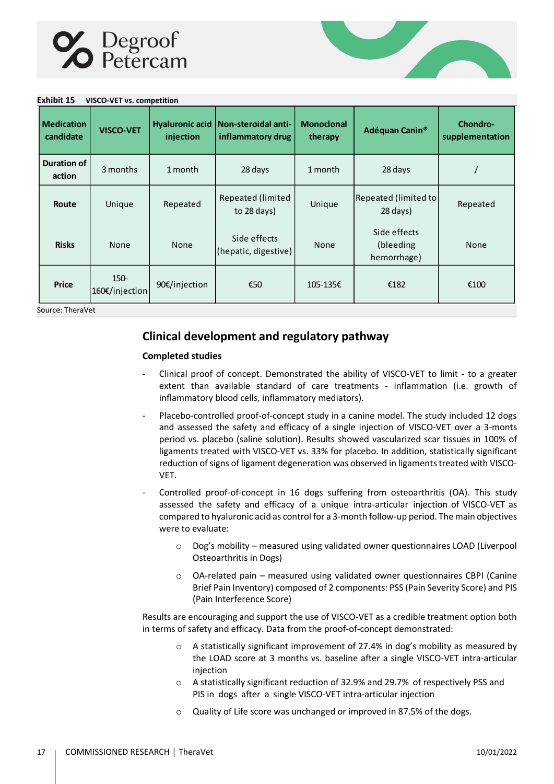

**Exhibit 15 VISCO-VET vs. competition**



| EXIIIDIL 15<br>VISCO-VET VS. COMPETITION |                           |               |                                                            |                              |                                          |                                    |
|------------------------------------------|---------------------------|---------------|------------------------------------------------------------|------------------------------|------------------------------------------|------------------------------------|
| <b>Medication</b><br>candidate           | <b>VISCO-VET</b>          | injection     | Hyaluronic acid   Non-steroidal anti-<br>inflammatory drug | <b>Monoclonal</b><br>therapy | Adéquan Canin <sup>®</sup>               | <b>Chondro-</b><br>supplementation |
| <b>Duration of</b><br>action             | 3 months                  | 1 month       | 28 days                                                    | 1 month                      | 28 days                                  |                                    |
| Route                                    | Unique                    | Repeated      | Repeated (limited<br>to 28 days)                           | Unique                       | Repeated (limited to<br>28 days)         | Repeated                           |
| <b>Risks</b>                             | None                      | None          | Side effects<br>(hepatic, digestive)                       | None                         | Side effects<br>(bleeding<br>hemorrhage) | None                               |
| <b>Price</b>                             | $150 -$<br>160€/injection | 90€/injection | €50                                                        | 105-135€                     | €182                                     | €100                               |
| Source: TheraVet                         |                           |               |                                                            |                              |                                          |                                    |

## <span id="page-16-0"></span>**Clinical development and regulatory pathway**

## <span id="page-16-1"></span>**Completed studies**

- Clinical proof of concept. Demonstrated the ability of VISCO-VET to limit to a greater extent than available standard of care treatments - inflammation (i.e. growth of inflammatory blood cells, inflammatory mediators).
- Placebo-controlled proof-of-concept study in a canine model. The study included 12 dogs and assessed the safety and efficacy of a single injection of VISCO-VET over a 3-monts period vs. placebo (saline solution). Results showed vascularized scar tissues in 100% of ligaments treated with VISCO-VET vs. 33% for placebo. In addition, statistically significant reduction of signs of ligament degeneration was observed in ligaments treated with VISCO-VET.
- Controlled proof-of-concept in 16 dogs suffering from osteoarthritis (OA). This study assessed the safety and efficacy of a unique intra-articular injection of VISCO-VET as compared to hyaluronic acid as control for a 3-month follow-up period. The main objectives were to evaluate:
	- o Dog's mobility measured using validated owner questionnaires LOAD (Liverpool Osteoarthritis in Dogs)
	- o OA-related pain measured using validated owner questionnaires CBPI (Canine Brief Pain Inventory) composed of 2 components: PSS (Pain Severity Score) and PIS (Pain Interference Score)

Results are encouraging and support the use of VISCO-VET as a credible treatment option both in terms of safety and efficacy. Data from the proof-of-concept demonstrated:

- o A statistically significant improvement of 27.4% in dog's mobility as measured by the LOAD score at 3 months vs. baseline after a single VISCO-VET intra-articular injection
- o A statistically significant reduction of 32.9% and 29.7% of respectively PSS and PIS in dogs after a single VISCO-VET intra-articular injection
- o Quality of Life score was unchanged or improved in 87.5% of the dogs.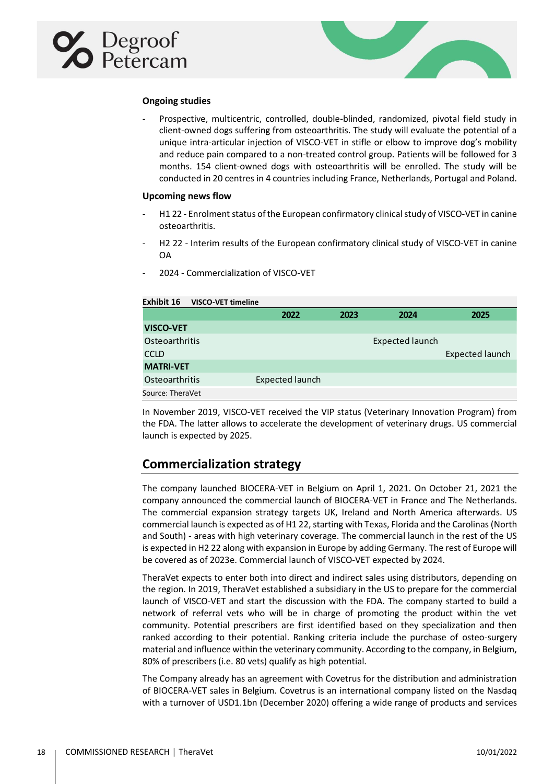<span id="page-17-0"></span>



## **Ongoing studies**

- Prospective, multicentric, controlled, double-blinded, randomized, pivotal field study in client-owned dogs suffering from osteoarthritis. The study will evaluate the potential of a unique intra-articular injection of VISCO-VET in stifle or elbow to improve dog's mobility and reduce pain compared to a non-treated control group. Patients will be followed for 3 months. 154 client-owned dogs with osteoarthritis will be enrolled. The study will be conducted in 20 centres in 4 countries including France, Netherlands, Portugal and Poland.

#### <span id="page-17-1"></span>**Upcoming news flow**

- H1 22 Enrolment status of the European confirmatory clinical study of VISCO-VET in canine osteoarthritis.
- H2 22 Interim results of the European confirmatory clinical study of VISCO-VET in canine OA
- 2024 Commercialization of VISCO-VET

| Exhibit 16<br><b>VISCO-VET timeline</b> |                        |      |                        |                        |
|-----------------------------------------|------------------------|------|------------------------|------------------------|
|                                         | 2022                   | 2023 | 2024                   | 2025                   |
| <b>VISCO-VET</b>                        |                        |      |                        |                        |
| Osteoarthritis                          |                        |      | <b>Expected launch</b> |                        |
| <b>CCLD</b>                             |                        |      |                        | <b>Expected launch</b> |
| <b>MATRI-VET</b>                        |                        |      |                        |                        |
| Osteoarthritis                          | <b>Expected launch</b> |      |                        |                        |
| Source: TheraVet                        |                        |      |                        |                        |

In November 2019, VISCO-VET received the VIP status (Veterinary Innovation Program) from the FDA. The latter allows to accelerate the development of veterinary drugs. US commercial launch is expected by 2025.

## <span id="page-17-2"></span>**Commercialization strategy**

The company launched BIOCERA-VET in Belgium on April 1, 2021. On October 21, 2021 the company announced the commercial launch of BIOCERA-VET in France and The Netherlands. The commercial expansion strategy targets UK, Ireland and North America afterwards. US commercial launch is expected as of H1 22, starting with Texas, Florida and the Carolinas (North and South) - areas with high veterinary coverage. The commercial launch in the rest of the US is expected in H2 22 along with expansion in Europe by adding Germany. The rest of Europe will be covered as of 2023e. Commercial launch of VISCO-VET expected by 2024.

TheraVet expects to enter both into direct and indirect sales using distributors, depending on the region. In 2019, TheraVet established a subsidiary in the US to prepare for the commercial launch of VISCO-VET and start the discussion with the FDA. The company started to build a network of referral vets who will be in charge of promoting the product within the vet community. Potential prescribers are first identified based on they specialization and then ranked according to their potential. Ranking criteria include the purchase of osteo-surgery material and influence within the veterinary community. According to the company, in Belgium, 80% of prescribers (i.e. 80 vets) qualify as high potential.

The Company already has an agreement with Covetrus for the distribution and administration of BIOCERA-VET sales in Belgium. Covetrus is an international company listed on the Nasdaq with a turnover of USD1.1bn (December 2020) offering a wide range of products and services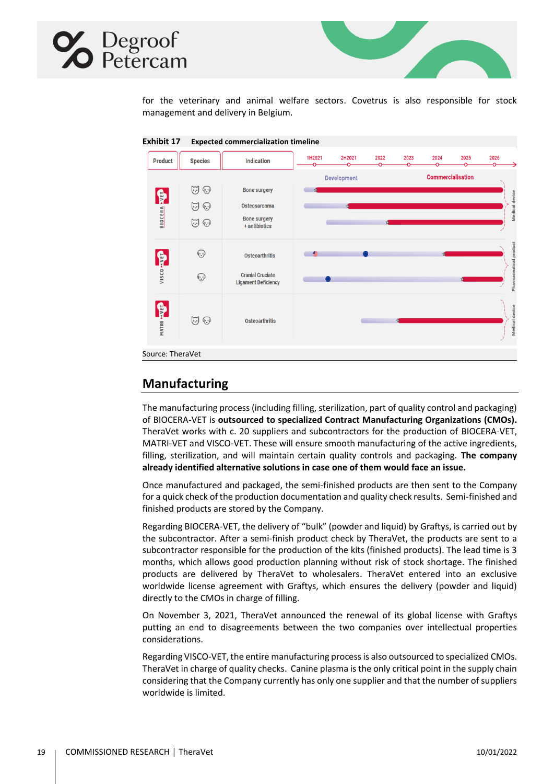



for the veterinary and animal welfare sectors. Covetrus is also responsible for stock management and delivery in Belgium.



## <span id="page-18-0"></span>**Manufacturing**

The manufacturing process (including filling, sterilization, part of quality control and packaging) of BIOCERA-VET is **outsourced to specialized Contract Manufacturing Organizations (CMOs).**  TheraVet works with c. 20 suppliers and subcontractors for the production of BIOCERA-VET, MATRI-VET and VISCO-VET. These will ensure smooth manufacturing of the active ingredients, filling, sterilization, and will maintain certain quality controls and packaging. **The company already identified alternative solutions in case one of them would face an issue.** 

Once manufactured and packaged, the semi-finished products are then sent to the Company for a quick check of the production documentation and quality check results. Semi-finished and finished products are stored by the Company.

Regarding BIOCERA-VET, the delivery of "bulk" (powder and liquid) by Graftys, is carried out by the subcontractor. After a semi-finish product check by TheraVet, the products are sent to a subcontractor responsible for the production of the kits (finished products). The lead time is 3 months, which allows good production planning without risk of stock shortage. The finished products are delivered by TheraVet to wholesalers. TheraVet entered into an exclusive worldwide license agreement with Graftys, which ensures the delivery (powder and liquid) directly to the CMOs in charge of filling.

On November 3, 2021, TheraVet announced the renewal of its global license with Graftys putting an end to disagreements between the two companies over intellectual properties considerations.

Regarding VISCO-VET, the entire manufacturing process is also outsourced to specialized CMOs. TheraVet in charge of quality checks. Canine plasma is the only critical point in the supply chain considering that the Company currently has only one supplier and that the number of suppliers worldwide is limited.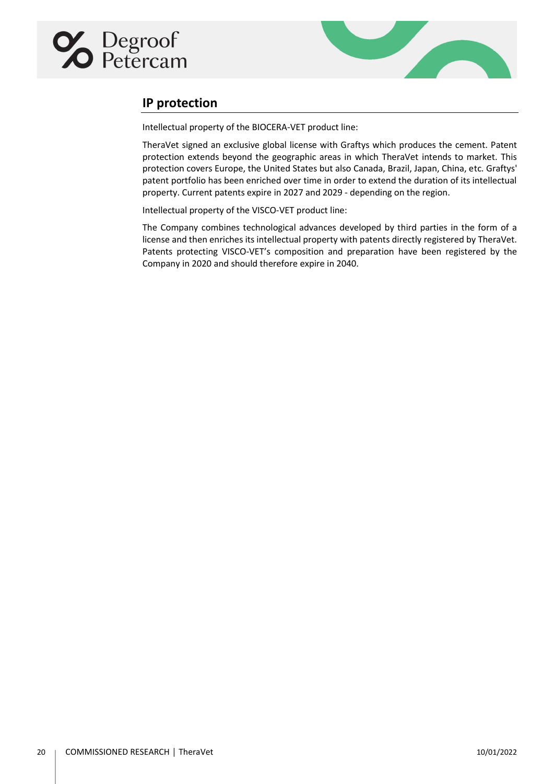<span id="page-19-0"></span>



## **IP protection**

Intellectual property of the BIOCERA-VET product line:

TheraVet signed an exclusive global license with Graftys which produces the cement. Patent protection extends beyond the geographic areas in which TheraVet intends to market. This protection covers Europe, the United States but also Canada, Brazil, Japan, China, etc. Graftys' patent portfolio has been enriched over time in order to extend the duration of its intellectual property. Current patents expire in 2027 and 2029 - depending on the region.

Intellectual property of the VISCO-VET product line:

The Company combines technological advances developed by third parties in the form of a license and then enriches its intellectual property with patents directly registered by TheraVet. Patents protecting VISCO-VET's composition and preparation have been registered by the Company in 2020 and should therefore expire in 2040.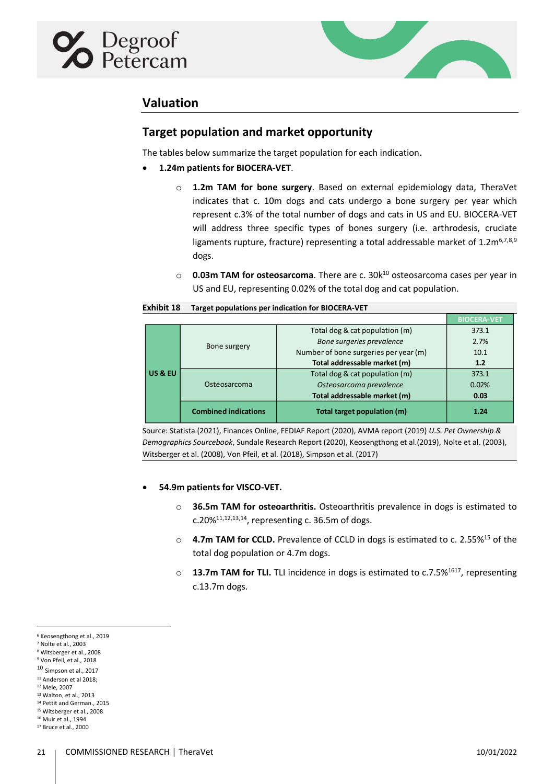<span id="page-20-1"></span><span id="page-20-0"></span>

<span id="page-20-9"></span><span id="page-20-8"></span><span id="page-20-7"></span><span id="page-20-6"></span>

## **Valuation**

## **Target population and market opportunity**

The tables below summarize the target population for each indication.

- **1.24m patients for BIOCERA-VET**.
	- o **1.2m TAM for bone surgery**. Based on external epidemiology data, TheraVet indicates that c. 10m dogs and cats undergo a bone surgery per year which represent c.3% of the total number of dogs and cats in US and EU. BIOCERA-VET will address three specific types of bones surgery (i.e. arthrodesis, cruciate ligaments rupture, fracture) representing a total addressable market of  $1.2 \text{m}^{6,7,8,9}$ dogs.
	- o **0.03m TAM for osteosarcoma**. There are c. 30k<sup>10</sup> osteosarcoma cases per year in US and EU, representing 0.02% of the total dog and cat population.

<span id="page-20-10"></span>

| <b>Exhibit 18</b> | Target populations per indication for BIOCERA-VET |
|-------------------|---------------------------------------------------|
|-------------------|---------------------------------------------------|

|                    |                             |                                       | <b>BIOCFRA-VET</b> |
|--------------------|-----------------------------|---------------------------------------|--------------------|
|                    | Bone surgery                | Total dog & cat population (m)        | 373.1              |
|                    |                             | Bone surgeries prevalence             | 2.7%               |
|                    |                             | Number of bone surgeries per year (m) | 10.1               |
|                    |                             | Total addressable market (m)          | 1.2                |
| <b>US &amp; EU</b> | Osteosarcoma                | Total dog & cat population (m)        | 373.1              |
|                    |                             | Osteosarcoma prevalence               | 0.02%              |
|                    |                             | Total addressable market (m)          | 0.03               |
|                    | <b>Combined indications</b> | Total target population (m)           | 1.24               |
|                    |                             |                                       |                    |

Source: Statista (2021), Finances Online, FEDIAF Report (2020), AVMA report (2019) *U.S. Pet Ownership & Demographics Sourcebook*, Sundale Research Report (2020), Keosengthong et al.(2019), Nolte et al. (2003), Witsberger et al. (2008), Von Pfeil, et al. (2018), Simpson et al. (2017)

## • **54.9m patients for VISCO-VET.**

- <span id="page-20-5"></span><span id="page-20-4"></span><span id="page-20-3"></span><span id="page-20-2"></span>o **36.5m TAM for osteoarthritis.** Osteoarthritis prevalence in dogs is estimated to c.20% $^{11,12,13,14}$ , representing c. 36.5m of dogs.
- <span id="page-20-11"></span>o **4.7m TAM for CCLD.** Prevalence of CCLD in dogs is estimated to c. 2.55%<sup>15</sup> of the total dog population or 4.7m dogs.
- <span id="page-20-13"></span><span id="page-20-12"></span>o **13.7m TAM for TLI.** TLI incidence in dogs is estimated to c.7.5%<sup>1617</sup>, representing c.13.7m dogs.

<sup>6</sup> Keosengthong et al., 2019

<sup>7</sup> Nolte et al., 2003

<sup>8</sup> Witsberger et al., 2008 <sup>9</sup> Von Pfeil, et al., 2018

<sup>10</sup> Simpson et al., 2017 <sup>11</sup> Anderson et al 2018;

<sup>12</sup> Mele, 2007

<sup>13</sup> Walton, et al., 2013

<sup>14</sup> Pettit and German., 2015

<sup>15</sup> Witsberger et al., 2008

<sup>16</sup> Muir et al., 1994

<sup>17</sup> Bruce et al., 2000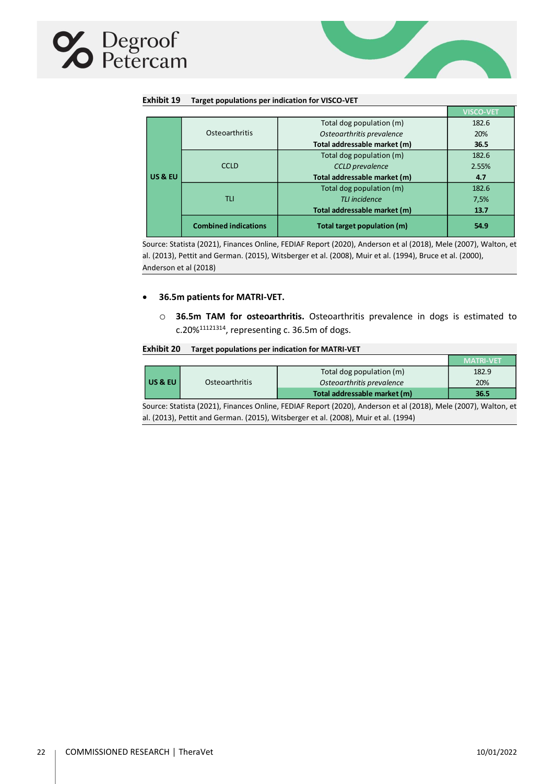



| Exhibit 19 | Target populations per indication for VISCO-VET |
|------------|-------------------------------------------------|
|------------|-------------------------------------------------|

|         |                             |                              | <b>VISCO-VET</b> |
|---------|-----------------------------|------------------------------|------------------|
|         |                             | Total dog population (m)     | 182.6            |
|         | Osteoarthritis              | Osteoarthritis prevalence    | 20%              |
|         |                             | Total addressable market (m) | 36.5             |
|         |                             | Total dog population (m)     | 182.6            |
|         | <b>CCLD</b>                 | <b>CCLD</b> prevalence       | 2.55%            |
| US & EU |                             | Total addressable market (m) | 4.7              |
|         |                             | Total dog population (m)     | 182.6            |
|         | TLI                         | TLI incidence                | 7,5%             |
|         |                             | Total addressable market (m) | 13.7             |
|         | <b>Combined indications</b> | Total target population (m)  | 54.9             |

Source: Statista (2021), Finances Online, FEDIAF Report (2020), Anderson et al (2018), Mele (2007), Walton, et al. (2013), Pettit and German. (2015), Witsberger et al. (2008), Muir et al. (1994), Bruce et al. (2000), Anderson et al (2018)

## • **36.5m patients for MATRI-VET.**

o **36.5m TAM for osteoarthritis.** Osteoarthritis prevalence in dogs is estimated to c.20% $^{11121314}$  $^{11121314}$  $^{11121314}$  $^{11121314}$  $^{11121314}$  $^{11121314}$ , representing c. 36.5m of dogs.

#### **Exhibit 20 Target populations per indication for MATRI-VET**

|                                                                                                                |                |                              | <b>MATRI-VET</b> |
|----------------------------------------------------------------------------------------------------------------|----------------|------------------------------|------------------|
|                                                                                                                |                | Total dog population (m)     | 182.9            |
| US & EU                                                                                                        | Osteoarthritis | Osteoarthritis prevalence    | 20%              |
|                                                                                                                |                | Total addressable market (m) | 36.5             |
| Source: Statista (2021), Finances Online, FEDIAF Report (2020), Anderson et al (2018), Mele (2007), Walton, et |                |                              |                  |

al. (2013), Pettit and German. (2015), Witsberger et al. (2008), Muir et al. (1994)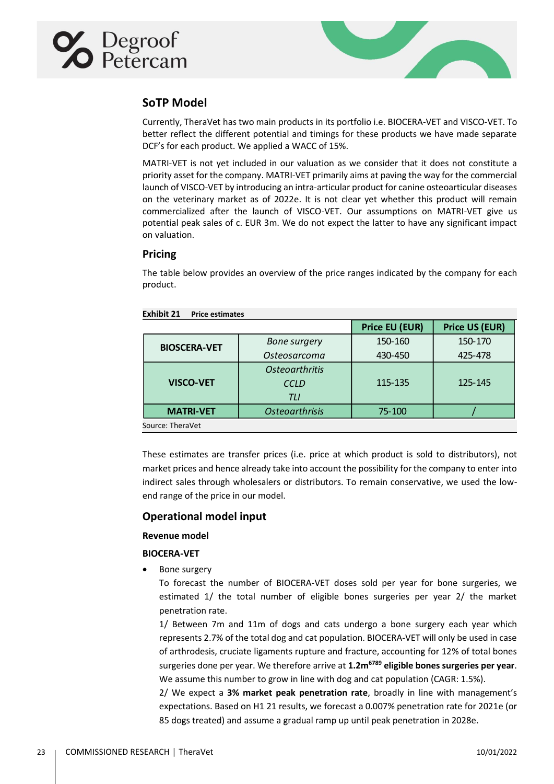<span id="page-22-0"></span>



## **SoTP Model**

Currently, TheraVet has two main products in its portfolio i.e. BIOCERA-VET and VISCO-VET. To better reflect the different potential and timings for these products we have made separate DCF's for each product. We applied a WACC of 15%.

MATRI-VET is not yet included in our valuation as we consider that it does not constitute a priority asset for the company. MATRI-VET primarily aims at paving the way for the commercial launch of VISCO-VET by introducing an intra-articular product for canine osteoarticular diseases on the veterinary market as of 2022e. It is not clear yet whether this product will remain commercialized after the launch of VISCO-VET. Our assumptions on MATRI-VET give us potential peak sales of c. EUR 3m. We do not expect the latter to have any significant impact on valuation.

## <span id="page-22-1"></span>**Pricing**

The table below provides an overview of the price ranges indicated by the company for each product.

|                                      |                                                                                                                                                                                                                                                                                                   | <b>Price EU (EUR)</b> | <b>Price US (EUR)</b> |
|--------------------------------------|---------------------------------------------------------------------------------------------------------------------------------------------------------------------------------------------------------------------------------------------------------------------------------------------------|-----------------------|-----------------------|
| <b>BIOSCERA-VET</b>                  | <b>Bone surgery</b>                                                                                                                                                                                                                                                                               | 150-160               | 150-170               |
|                                      | Osteosarcoma                                                                                                                                                                                                                                                                                      | 430-450               | 425-478               |
|                                      | <b>Osteoarthritis</b>                                                                                                                                                                                                                                                                             |                       |                       |
| <b>VISCO-VET</b>                     | <b>CCLD</b>                                                                                                                                                                                                                                                                                       | 115-135               | 125-145               |
|                                      | <b>TLI</b>                                                                                                                                                                                                                                                                                        |                       |                       |
| <b>MATRI-VET</b>                     | <b>Osteoarthrisis</b>                                                                                                                                                                                                                                                                             | 75-100                |                       |
| Source: TheraVet                     |                                                                                                                                                                                                                                                                                                   |                       |                       |
| end range of the price in our model. | These estimates are transfer prices (i.e. price at which product is sold to distributors), not<br>market prices and hence already take into account the possibility for the company to enter into<br>indirect sales through wholesalers or distributors. To remain conservative, we used the low- |                       |                       |
| <b>Operational model input</b>       |                                                                                                                                                                                                                                                                                                   |                       |                       |
| <b>Revenue model</b>                 |                                                                                                                                                                                                                                                                                                   |                       |                       |
| <b>BIOCERA-VET</b>                   |                                                                                                                                                                                                                                                                                                   |                       |                       |
| Bone surgery                         |                                                                                                                                                                                                                                                                                                   |                       |                       |
|                                      | To forecast the number of BIOCERA-VET doses sold per year for bone surgeries, we                                                                                                                                                                                                                  |                       |                       |
| penetration rate.                    | estimated 1/ the total number of eligible bones surgeries per year 2/ the market                                                                                                                                                                                                                  |                       |                       |
|                                      | 1/ Between 7m and 11m of dogs and cats undergo a bone surgery each year which                                                                                                                                                                                                                     |                       |                       |
|                                      | represents 2.7% of the total dog and cat population. BIOCERA-VET will only be used in case                                                                                                                                                                                                        |                       |                       |
|                                      | of arthrodesis, cruciate ligaments rupture and fracture, accounting for 12% of total bones                                                                                                                                                                                                        |                       |                       |
|                                      | surgeries done per year. We therefore arrive at 1.2m <sup>6789</sup> eligible bones surgeries per year.                                                                                                                                                                                           |                       |                       |
|                                      | We assume this number to grow in line with dog and cat population (CAGR: 1.5%).                                                                                                                                                                                                                   |                       |                       |
|                                      | 2/ We expect a 3% market peak penetration rate, broadly in line with management's                                                                                                                                                                                                                 |                       |                       |
|                                      | expectations. Based on H1 21 results, we forecast a 0.007% penetration rate for 2021e (or                                                                                                                                                                                                         |                       |                       |
|                                      | 85 dogs treated) and assume a gradual ramp up until peak penetration in 2028e.                                                                                                                                                                                                                    |                       |                       |

**Exhibit 21 Price estimates** 

## <span id="page-22-2"></span>**Operational model input**

## <span id="page-22-4"></span><span id="page-22-3"></span>**Revenue model**

## **BIOCERA-VET**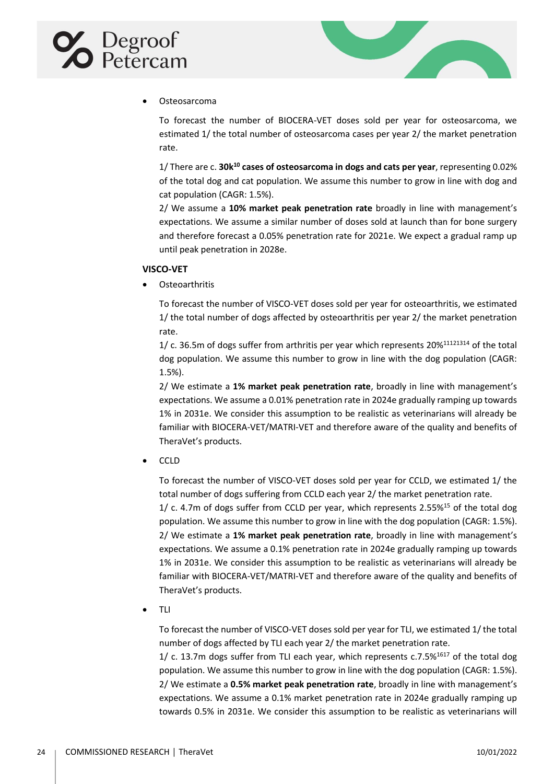



## • Osteosarcoma

To forecast the number of BIOCERA-VET doses sold per year for osteosarcoma, we estimated 1/ the total number of osteosarcoma cases per year 2/ the market penetration rate.

1/ There are c. **30k[10](#page-20-10) cases of osteosarcoma in dogs and cats per year**, representing 0.02% of the total dog and cat population. We assume this number to grow in line with dog and cat population (CAGR: 1.5%).

2/ We assume a **10% market peak penetration rate** broadly in line with management's expectations. We assume a similar number of doses sold at launch than for bone surgery and therefore forecast a 0.05% penetration rate for 2021e. We expect a gradual ramp up until peak penetration in 2028e.

## <span id="page-23-0"></span>**VISCO-VET**

• Osteoarthritis

To forecast the number of VISCO-VET doses sold per year for osteoarthritis, we estimated 1/ the total number of dogs affected by osteoarthritis per year 2/ the market penetration rate.

1/ c. 36.5m of dogs suffer from arthritis per year which represents 20%[11](#page-20-2)[12](#page-20-3)[13](#page-20-4)[14](#page-20-5) of the total dog population. We assume this number to grow in line with the dog population (CAGR: 1.5%).

2/ We estimate a **1% market peak penetration rate**, broadly in line with management's expectations. We assume a 0.01% penetration rate in 2024e gradually ramping up towards 1% in 2031e. We consider this assumption to be realistic as veterinarians will already be familiar with BIOCERA-VET/MATRI-VET and therefore aware of the quality and benefits of TheraVet's products.

• CCLD

To forecast the number of VISCO-VET doses sold per year for CCLD, we estimated 1/ the total number of dogs suffering from CCLD each year 2/ the market penetration rate.

 $1/$  c. 4.7m of dogs suffer from CCLD per year, which represents 2.55%<sup>[15](#page-20-11)</sup> of the total dog population. We assume this number to grow in line with the dog population (CAGR: 1.5%). 2/ We estimate a **1% market peak penetration rate**, broadly in line with management's expectations. We assume a 0.1% penetration rate in 2024e gradually ramping up towards 1% in 2031e. We consider this assumption to be realistic as veterinarians will already be familiar with BIOCERA-VET/MATRI-VET and therefore aware of the quality and benefits of TheraVet's products.

• TLI

To forecast the number of VISCO-VET doses sold per year for TLI, we estimated 1/ the total number of dogs affected by TLI each year 2/ the market penetration rate.

 $1/$  c. 13.7m dogs suffer from TLI each year, which represents c.7.5%<sup>[16](#page-20-12)[17](#page-20-13)</sup> of the total dog population. We assume this number to grow in line with the dog population (CAGR: 1.5%). 2/ We estimate a **0.5% market peak penetration rate**, broadly in line with management's expectations. We assume a 0.1% market penetration rate in 2024e gradually ramping up towards 0.5% in 2031e. We consider this assumption to be realistic as veterinarians will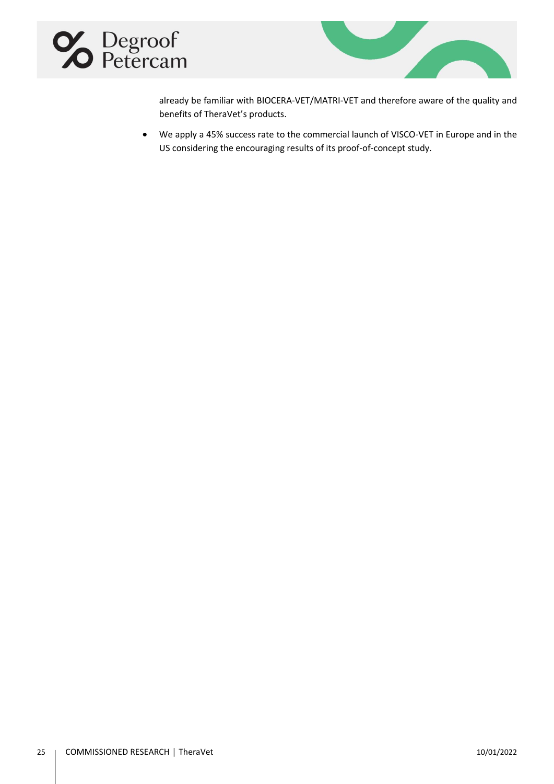



already be familiar with BIOCERA-VET/MATRI-VET and therefore aware of the quality and benefits of TheraVet's products.

• We apply a 45% success rate to the commercial launch of VISCO-VET in Europe and in the US considering the encouraging results of its proof-of-concept study.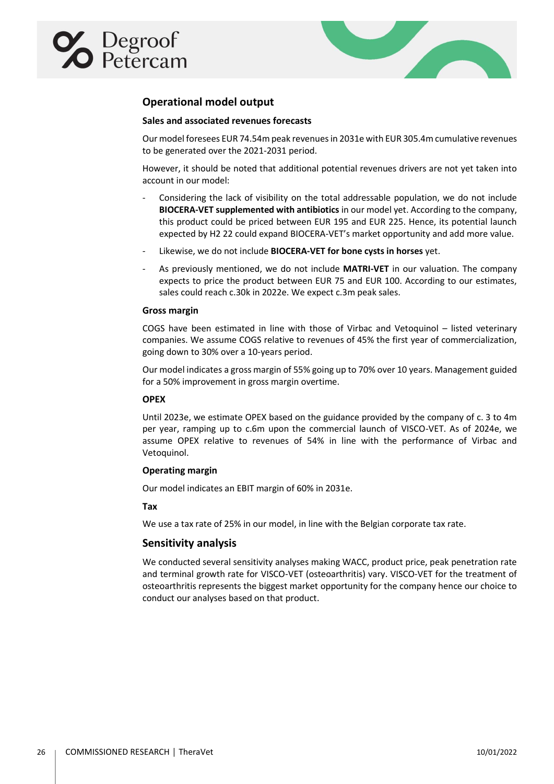<span id="page-25-1"></span><span id="page-25-0"></span>



## **Operational model output**

## **Sales and associated revenues forecasts**

Our model foresees EUR 74.54m peak revenues in 2031e with EUR 305.4m cumulative revenues to be generated over the 2021-2031 period.

However, it should be noted that additional potential revenues drivers are not yet taken into account in our model:

- Considering the lack of visibility on the total addressable population, we do not include **BIOCERA-VET supplemented with antibiotics** in our model yet. According to the company, this product could be priced between EUR 195 and EUR 225. Hence, its potential launch expected by H2 22 could expand BIOCERA-VET's market opportunity and add more value.
- Likewise, we do not include **BIOCERA-VET for bone cysts in horses** yet.
- As previously mentioned, we do not include **MATRI-VET** in our valuation. The company expects to price the product between EUR 75 and EUR 100. According to our estimates, sales could reach c.30k in 2022e. We expect c.3m peak sales.

### <span id="page-25-2"></span>**Gross margin**

COGS have been estimated in line with those of Virbac and Vetoquinol – listed veterinary companies. We assume COGS relative to revenues of 45% the first year of commercialization, going down to 30% over a 10-years period.

Our model indicates a gross margin of 55% going up to 70% over 10 years. Management guided for a 50% improvement in gross margin overtime.

## <span id="page-25-3"></span>**OPEX**

Until 2023e, we estimate OPEX based on the guidance provided by the company of c. 3 to 4m per year, ramping up to c.6m upon the commercial launch of VISCO-VET. As of 2024e, we assume OPEX relative to revenues of 54% in line with the performance of Virbac and Vetoquinol.

## <span id="page-25-4"></span>**Operating margin**

<span id="page-25-5"></span>Our model indicates an EBIT margin of 60% in 2031e.

### **Tax**

We use a tax rate of 25% in our model, in line with the Belgian corporate tax rate.

## <span id="page-25-6"></span>**Sensitivity analysis**

We conducted several sensitivity analyses making WACC, product price, peak penetration rate and terminal growth rate for VISCO-VET (osteoarthritis) vary. VISCO-VET for the treatment of osteoarthritis represents the biggest market opportunity for the company hence our choice to conduct our analyses based on that product.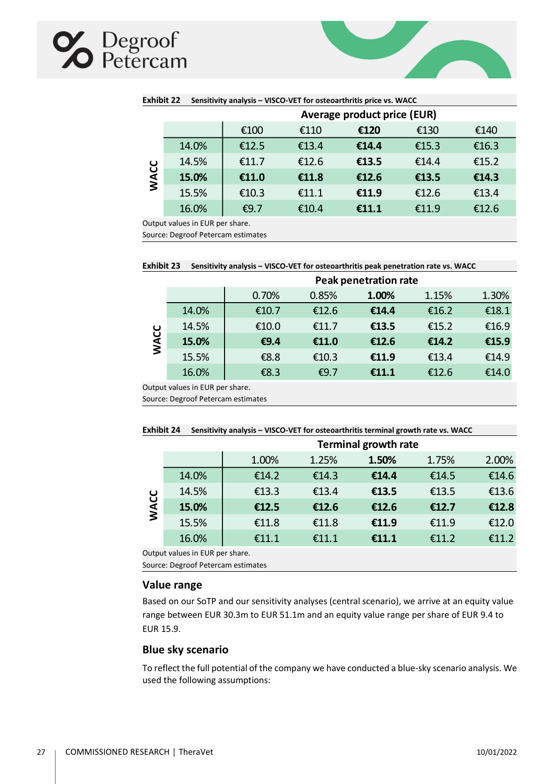## **X** Degroof

|                             | Exhibit 22<br>Sensitivity analysis – VISCO-VET for osteoarthritis price vs. WACC |       |       |       |       |       |  |  |
|-----------------------------|----------------------------------------------------------------------------------|-------|-------|-------|-------|-------|--|--|
| Average product price (EUR) |                                                                                  |       |       |       |       |       |  |  |
|                             |                                                                                  | €100  | €110  | €120  | €130  | €140  |  |  |
|                             | 14.0%                                                                            | €12.5 | €13.4 | €14.4 | €15.3 | €16.3 |  |  |
|                             | 14.5%                                                                            | £11.7 | €12.6 | €13.5 | €14.4 | €15.2 |  |  |
| <b>WACC</b>                 | 15.0%                                                                            | €11.0 | €11.8 | €12.6 | €13.5 | €14.3 |  |  |
|                             | 15.5%                                                                            | €10.3 | €11.1 | €11.9 | €12.6 | €13.4 |  |  |
|                             | 16.0%                                                                            | €9.7  | €10.4 | €11.1 | €11.9 | €12.6 |  |  |

**Exhibit 22 Sensitivity analysis – VISCO-VET for osteoarthritis price vs. WACC**

Output values in EUR per share.

Source: Degroof Petercam estimates

| Exhibit 23 Sensitivity analysis - VISCO-VET for osteoarthritis peak penetration rate vs. WACC |  |
|-----------------------------------------------------------------------------------------------|--|
|-----------------------------------------------------------------------------------------------|--|

|             |       | <b>Peak penetration rate</b> |         |       |       |       |  |  |
|-------------|-------|------------------------------|---------|-------|-------|-------|--|--|
|             |       | 0.70%                        | 0.85%   | 1.00% | 1.15% | 1.30% |  |  |
|             | 14.0% | €10.7                        | €12.6   | €14.4 | €16.2 | €18.1 |  |  |
|             | 14.5% | €10.0                        | €11.7   | €13.5 | €15.2 | €16.9 |  |  |
| <b>WACC</b> | 15.0% | €9.4                         | €11.0   | €12.6 | €14.2 | €15.9 |  |  |
|             | 15.5% | €8.8                         | €10.3   | €11.9 | €13.4 | €14.9 |  |  |
|             | 16.0% | €8.3                         | € $9.7$ | €11.1 | €12.6 | €14.0 |  |  |
|             |       |                              |         |       |       |       |  |  |

Output values in EUR per share.

Source: Degroof Petercam estimates

|  | Exhibit 24 Sensitivity analysis - VISCO-VET for osteoarthritis terminal growth rate vs. WACC |  |
|--|----------------------------------------------------------------------------------------------|--|
|--|----------------------------------------------------------------------------------------------|--|

|             | <b>Terminal growth rate</b>    |       |       |       |       |       |  |  |
|-------------|--------------------------------|-------|-------|-------|-------|-------|--|--|
|             |                                | 1.00% | 1.25% | 1.50% | 1.75% | 2.00% |  |  |
|             | 14.0%                          | £14.2 | £14.3 | €14.4 | €14.5 | €14.6 |  |  |
|             | 14.5%                          | €13.3 | €13.4 | €13.5 | €13.5 | €13.6 |  |  |
| <b>NACC</b> | 15.0%                          | €12.5 | €12.6 | €12.6 | €12.7 | €12.8 |  |  |
|             | 15.5%                          | €11.8 | €11.8 | €11.9 | €11.9 | €12.0 |  |  |
|             | 16.0%                          | £11.1 | £11.1 | €11.1 | £11.2 | €11.2 |  |  |
|             | utnut values in ELID nor share |       |       |       |       |       |  |  |

Output values in EUR per share.

Source: Degroof Petercam estimates

## <span id="page-26-0"></span>**Value range**

Based on our SoTP and our sensitivity analyses (central scenario), we arrive at an equity value range between EUR 30.3m to EUR 51.1m and an equity value range per share of EUR 9.4 to EUR 15.9.

## <span id="page-26-1"></span>**Blue sky scenario**

To reflect the full potential of the company we have conducted a blue-sky scenario analysis. We used the following assumptions: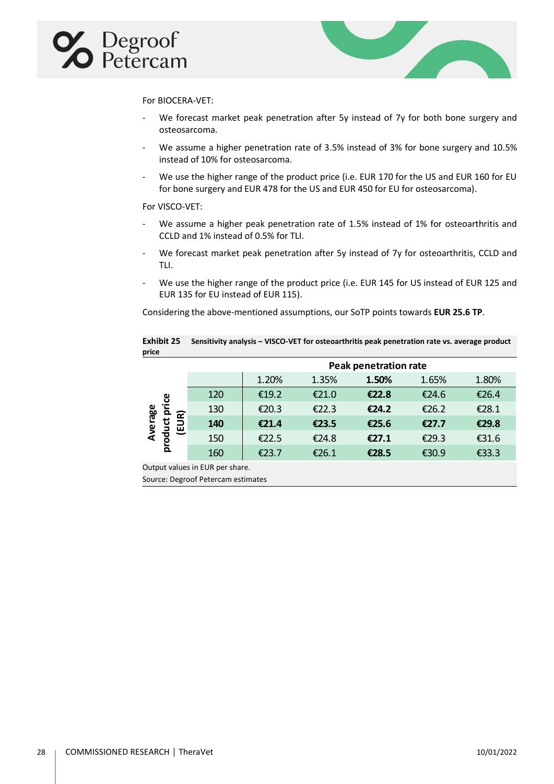



For BIOCERA-VET:

- We forecast market peak penetration after 5y instead of 7y for both bone surgery and osteosarcoma.
- We assume a higher penetration rate of 3.5% instead of 3% for bone surgery and 10.5% instead of 10% for osteosarcoma.
- We use the higher range of the product price (i.e. EUR 170 for the US and EUR 160 for EU for bone surgery and EUR 478 for the US and EUR 450 for EU for osteosarcoma).

### For VISCO-VET:

- We assume a higher peak penetration rate of 1.5% instead of 1% for osteoarthritis and CCLD and 1% instead of 0.5% for TLI.
- We forecast market peak penetration after 5y instead of 7y for osteoarthritis, CCLD and TLI.
- We use the higher range of the product price (i.e. EUR 145 for US instead of EUR 125 and EUR 135 for EU instead of EUR 115).

Considering the above-mentioned assumptions, our SoTP points towards **EUR 25.6 TP**.

|       | Exhibit 25 Sensitivity analysis - VISCO-VET for osteoarthritis peak penetration rate vs. average product |
|-------|----------------------------------------------------------------------------------------------------------|
| price |                                                                                                          |

|                        |     |       |       | <b>Peak penetration rate</b> |       |       |
|------------------------|-----|-------|-------|------------------------------|-------|-------|
|                        |     | 1.20% | 1.35% | 1.50%                        | 1.65% | 1.80% |
| ဗွ                     | 120 | €19.2 | €21.0 | £22.8                        | €24.6 | €26.4 |
| Έ<br><u>କ</u><br>o.    | 130 | €20.3 | €22.3 | £24.2                        | €26.2 | €28.1 |
| erage<br><u>ਹ</u><br>ш | 140 | £21.4 | €23.5 | €25.6                        | €27.7 | €29.8 |
| prod                   | 150 | €22.5 | €24.8 | £27.1                        | €29.3 | €31.6 |
|                        | 160 | €23.7 | €26.1 | €28.5                        | €30.9 | €33.3 |

Output values in EUR per share.

Source: Degroof Petercam estimates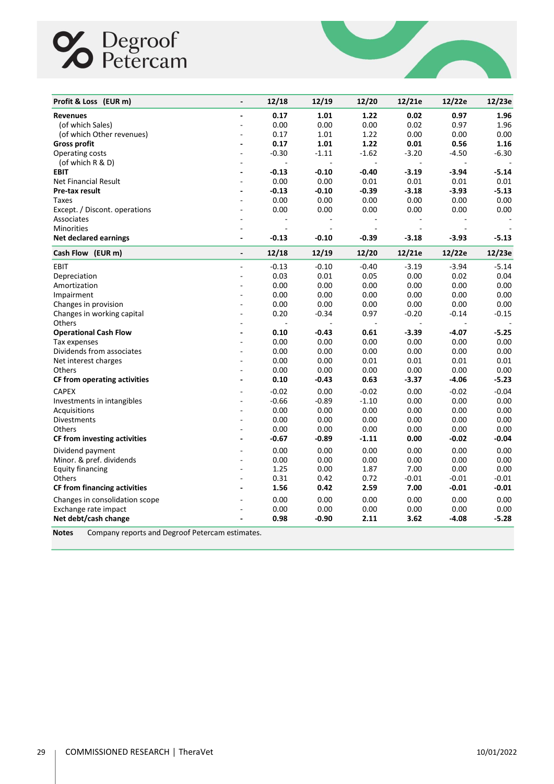## Competence Degroof



| Profit & Loss (EUR m)                                           |                          | 12/18   | 12/19          | 12/20   | 12/21e  | 12/22e  | 12/23e  |
|-----------------------------------------------------------------|--------------------------|---------|----------------|---------|---------|---------|---------|
| <b>Revenues</b>                                                 | $\overline{a}$           | 0.17    | 1.01           | 1.22    | 0.02    | 0.97    | 1.96    |
| (of which Sales)                                                |                          | 0.00    | 0.00           | 0.00    | 0.02    | 0.97    | 1.96    |
| (of which Other revenues)                                       |                          | 0.17    | 1.01           | 1.22    | 0.00    | 0.00    | 0.00    |
| <b>Gross profit</b>                                             |                          | 0.17    | 1.01           | 1.22    | 0.01    | 0.56    | 1.16    |
| Operating costs                                                 |                          | $-0.30$ | $-1.11$        | $-1.62$ | $-3.20$ | $-4.50$ | $-6.30$ |
| (of which R & D)                                                |                          |         | $\overline{a}$ |         |         |         |         |
| <b>EBIT</b>                                                     |                          | $-0.13$ | $-0.10$        | $-0.40$ | $-3.19$ | $-3.94$ | $-5.14$ |
| Net Financial Result                                            |                          | 0.00    | 0.00           | 0.01    | 0.01    | 0.01    | 0.01    |
| Pre-tax result                                                  |                          | $-0.13$ | $-0.10$        | $-0.39$ | $-3.18$ | $-3.93$ | $-5.13$ |
| Taxes                                                           |                          | 0.00    | 0.00           | 0.00    | 0.00    | 0.00    | 0.00    |
| Except. / Discont. operations                                   |                          | 0.00    | 0.00           | 0.00    | 0.00    | 0.00    | 0.00    |
| Associates                                                      |                          |         | ÷,             | ÷       |         |         |         |
| <b>Minorities</b>                                               |                          |         |                |         |         |         |         |
| <b>Net declared earnings</b>                                    | $\overline{\phantom{a}}$ | $-0.13$ | $-0.10$        | -0.39   | $-3.18$ | $-3.93$ | $-5.13$ |
| Cash Flow (EUR m)                                               | $\overline{\phantom{a}}$ | 12/18   | 12/19          | 12/20   | 12/21e  | 12/22e  | 12/23e  |
| EBIT                                                            |                          | $-0.13$ | $-0.10$        | $-0.40$ | $-3.19$ | $-3.94$ | $-5.14$ |
| Depreciation                                                    |                          | 0.03    | 0.01           | 0.05    | 0.00    | 0.02    | 0.04    |
| Amortization                                                    |                          | 0.00    | 0.00           | 0.00    | 0.00    | 0.00    | 0.00    |
| Impairment                                                      |                          | 0.00    | 0.00           | 0.00    | 0.00    | 0.00    | 0.00    |
| Changes in provision                                            | $\overline{a}$           | 0.00    | 0.00           | 0.00    | 0.00    | 0.00    | 0.00    |
| Changes in working capital                                      |                          | 0.20    | $-0.34$        | 0.97    | $-0.20$ | $-0.14$ | $-0.15$ |
| Others                                                          |                          |         |                |         |         |         |         |
| <b>Operational Cash Flow</b>                                    |                          | 0.10    | $-0.43$        | 0.61    | $-3.39$ | -4.07   | $-5.25$ |
| Tax expenses                                                    |                          | 0.00    | 0.00           | 0.00    | 0.00    | 0.00    | 0.00    |
| Dividends from associates                                       |                          | 0.00    | 0.00           | 0.00    | 0.00    | 0.00    | 0.00    |
| Net interest charges                                            |                          | 0.00    | 0.00           | 0.01    | 0.01    | 0.01    | 0.01    |
| Others                                                          |                          | 0.00    | 0.00           | 0.00    | 0.00    | 0.00    | 0.00    |
| CF from operating activities                                    |                          | 0.10    | $-0.43$        | 0.63    | $-3.37$ | -4.06   | $-5.23$ |
| <b>CAPEX</b>                                                    |                          | $-0.02$ | 0.00           | $-0.02$ | 0.00    | $-0.02$ | $-0.04$ |
| Investments in intangibles                                      |                          | $-0.66$ | $-0.89$        | $-1.10$ | 0.00    | 0.00    | 0.00    |
| Acquisitions                                                    |                          | 0.00    | 0.00           | 0.00    | 0.00    | 0.00    | 0.00    |
| Divestments                                                     |                          | 0.00    | 0.00           | 0.00    | 0.00    | 0.00    | 0.00    |
| Others                                                          |                          | 0.00    | 0.00           | 0.00    | 0.00    | 0.00    | 0.00    |
| CF from investing activities                                    |                          | $-0.67$ | $-0.89$        | $-1.11$ | 0.00    | $-0.02$ | $-0.04$ |
| Dividend payment                                                |                          | 0.00    | 0.00           | 0.00    | 0.00    | 0.00    | 0.00    |
| Minor. & pref. dividends                                        |                          | 0.00    | 0.00           | 0.00    | 0.00    | 0.00    | 0.00    |
| <b>Equity financing</b>                                         |                          | 1.25    | 0.00           | 1.87    | 7.00    | 0.00    | 0.00    |
| Others                                                          |                          | 0.31    | 0.42           | 0.72    | $-0.01$ | $-0.01$ | $-0.01$ |
| <b>CF from financing activities</b>                             |                          | 1.56    | 0.42           | 2.59    | 7.00    | $-0.01$ | $-0.01$ |
| Changes in consolidation scope                                  |                          | 0.00    | 0.00           | 0.00    | 0.00    | 0.00    | 0.00    |
| Exchange rate impact                                            |                          | 0.00    | 0.00           | 0.00    | 0.00    | 0.00    | 0.00    |
| Net debt/cash change                                            |                          | 0.98    | $-0.90$        | 2.11    | 3.62    | $-4.08$ | $-5.28$ |
| Company reports and Degroof Petercam estimates.<br><b>Notes</b> |                          |         |                |         |         |         |         |

29 COMMISSIONED RESEARCH | TheraVet 10/01/2022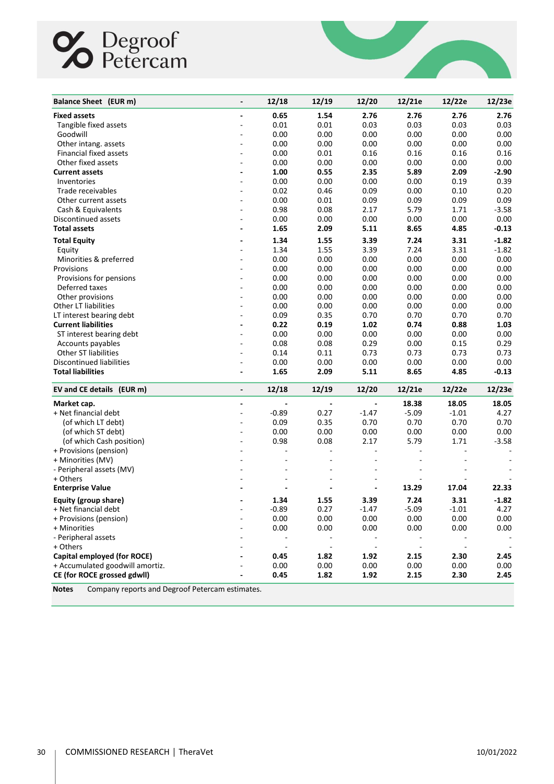# **C** Degroof

| Balance Sheet (EUR m)                                           | $\overline{a}$               | 12/18          | 12/19                        | 12/20                    | 12/21e                   | 12/22e                      | 12/23e                   |
|-----------------------------------------------------------------|------------------------------|----------------|------------------------------|--------------------------|--------------------------|-----------------------------|--------------------------|
| <b>Fixed assets</b>                                             | $\qquad \qquad \blacksquare$ | 0.65           | 1.54                         | 2.76                     | 2.76                     | 2.76                        | 2.76                     |
| Tangible fixed assets                                           |                              | 0.01           | 0.01                         | 0.03                     | 0.03                     | 0.03                        | 0.03                     |
| Goodwill                                                        |                              | 0.00           | 0.00                         | 0.00                     | 0.00                     | 0.00                        | 0.00                     |
| Other intang. assets                                            |                              | 0.00           | 0.00                         | 0.00                     | 0.00                     | 0.00                        | 0.00                     |
| Financial fixed assets                                          |                              | 0.00           | 0.01                         | 0.16                     | 0.16                     | 0.16                        | 0.16                     |
| Other fixed assets                                              | $\overline{\phantom{a}}$     | 0.00           | 0.00                         | 0.00                     | 0.00                     | 0.00                        | 0.00                     |
| <b>Current assets</b>                                           |                              | 1.00           | 0.55                         | 2.35                     | 5.89                     | 2.09                        | $-2.90$                  |
| Inventories                                                     |                              | 0.00           | 0.00                         | 0.00                     | 0.00                     | 0.19                        | 0.39                     |
| Trade receivables                                               |                              | 0.02           | 0.46                         | 0.09                     | 0.00                     | 0.10                        | 0.20                     |
| Other current assets                                            |                              | 0.00           | 0.01                         | 0.09                     | 0.09                     | 0.09                        | 0.09                     |
| Cash & Equivalents                                              |                              | 0.98           | 0.08                         | 2.17                     | 5.79                     | 1.71                        | $-3.58$                  |
| Discontinued assets                                             |                              | 0.00           | 0.00                         | 0.00                     | 0.00                     | 0.00                        | 0.00                     |
| <b>Total assets</b>                                             | ٠                            | 1.65           | 2.09                         | 5.11                     | 8.65                     | 4.85                        | $-0.13$                  |
| <b>Total Equity</b>                                             |                              | 1.34           | 1.55                         | 3.39                     | 7.24                     | 3.31                        | $-1.82$                  |
| Equity                                                          |                              | 1.34           | 1.55                         | 3.39                     | 7.24                     | 3.31                        | $-1.82$                  |
| Minorities & preferred                                          |                              | 0.00           | 0.00                         | 0.00                     | 0.00                     | 0.00                        | 0.00                     |
| Provisions                                                      |                              | 0.00           | 0.00                         | 0.00                     | 0.00                     | 0.00                        | 0.00                     |
| Provisions for pensions                                         |                              | 0.00           | 0.00                         | 0.00                     | 0.00                     | 0.00                        | 0.00                     |
| Deferred taxes                                                  |                              | 0.00           | 0.00                         | 0.00                     | 0.00                     | 0.00                        | 0.00                     |
| Other provisions                                                | $\overline{a}$               | 0.00           | 0.00                         | 0.00                     | 0.00                     | 0.00                        | 0.00                     |
| Other LT liabilities                                            | ÷,                           | 0.00           | 0.00                         | 0.00                     | 0.00                     | 0.00                        | 0.00                     |
| LT interest bearing debt                                        |                              | 0.09           | 0.35                         | 0.70                     | 0.70                     | 0.70                        | 0.70                     |
| <b>Current liabilities</b>                                      |                              | 0.22           | 0.19                         | 1.02                     | 0.74                     | 0.88                        | 1.03                     |
| ST interest bearing debt                                        | ÷,                           | 0.00           | 0.00                         | 0.00                     | 0.00                     | 0.00                        | 0.00                     |
| Accounts payables                                               |                              | 0.08           | 0.08                         | 0.29                     | 0.00                     | 0.15                        | 0.29                     |
| <b>Other ST liabilities</b>                                     |                              | 0.14           | 0.11                         | 0.73                     | 0.73                     | 0.73                        | 0.73                     |
| Discontinued liabilities                                        | ÷,                           | 0.00           | 0.00                         | 0.00                     | 0.00                     | 0.00                        | 0.00                     |
| <b>Total liabilities</b>                                        | $\overline{\phantom{a}}$     | 1.65           | 2.09                         | 5.11                     | 8.65                     | 4.85                        | $-0.13$                  |
| EV and CE details (EUR m)                                       | $\overline{\phantom{a}}$     | 12/18          | 12/19                        | 12/20                    | 12/21e                   | 12/22e                      | 12/23e                   |
| Market cap.                                                     | $\overline{\phantom{a}}$     |                | $\overline{\phantom{a}}$     | $\overline{\phantom{a}}$ | 18.38                    | 18.05                       | 18.05                    |
| + Net financial debt                                            | ÷,                           | $-0.89$        | 0.27                         | $-1.47$                  | $-5.09$                  | $-1.01$                     | 4.27                     |
| (of which LT debt)                                              | ÷,                           | 0.09           | 0.35                         | 0.70                     | 0.70                     | 0.70                        | 0.70                     |
| (of which ST debt)                                              | ÷,                           | 0.00           | 0.00                         | 0.00                     | 0.00                     | 0.00                        | 0.00                     |
| (of which Cash position)                                        | ä,                           | 0.98           | 0.08                         | 2.17                     | 5.79                     | 1.71                        | $-3.58$                  |
| + Provisions (pension)                                          |                              |                | $\overline{\phantom{a}}$     |                          |                          | $\overline{\phantom{a}}$    |                          |
| + Minorities (MV)                                               |                              | ä,             | $\overline{\phantom{a}}$     |                          |                          |                             | $\frac{1}{2}$            |
| - Peripheral assets (MV)                                        |                              |                | ä,                           |                          |                          |                             | $\overline{\phantom{a}}$ |
| + Others                                                        |                              |                | ÷,                           |                          | ÷,                       |                             |                          |
| <b>Enterprise Value</b>                                         |                              |                | $\qquad \qquad \blacksquare$ | $\overline{\phantom{a}}$ | 13.29                    | 17.04                       | 22.33                    |
| Equity (group share)                                            |                              | 1.34           | 1.55                         | 3.39                     | 7.24                     | 3.31                        | $-1.82$                  |
| + Net financial debt                                            | ÷,                           | $-0.89$        | 0.27                         | $-1.47$                  | $-5.09$                  | $-1.01$                     | 4.27                     |
| + Provisions (pension)                                          |                              | 0.00           | 0.00                         | 0.00                     | 0.00                     | 0.00                        | $0.00\,$                 |
| + Minorities                                                    |                              | 0.00           | 0.00                         | 0.00                     | 0.00                     | 0.00                        | 0.00                     |
| - Peripheral assets                                             |                              |                |                              |                          |                          |                             |                          |
| + Others                                                        |                              | $\blacksquare$ | $\blacksquare$               | $\overline{\phantom{a}}$ | $\overline{\phantom{a}}$ | $\mathcal{L}_{\mathcal{A}}$ |                          |
| Capital employed (for ROCE)                                     |                              | 0.45           | 1.82                         | 1.92                     | 2.15                     | 2.30                        | 2.45                     |
| + Accumulated goodwill amortiz.                                 |                              | 0.00           | 0.00                         | 0.00                     | 0.00                     | 0.00                        | 0.00                     |
| CE (for ROCE grossed gdwll)                                     |                              | 0.45           | 1.82                         | 1.92                     | 2.15                     | 2.30                        | 2.45                     |
| Company reports and Degroof Petercam estimates.<br><b>Notes</b> |                              |                |                              |                          |                          |                             |                          |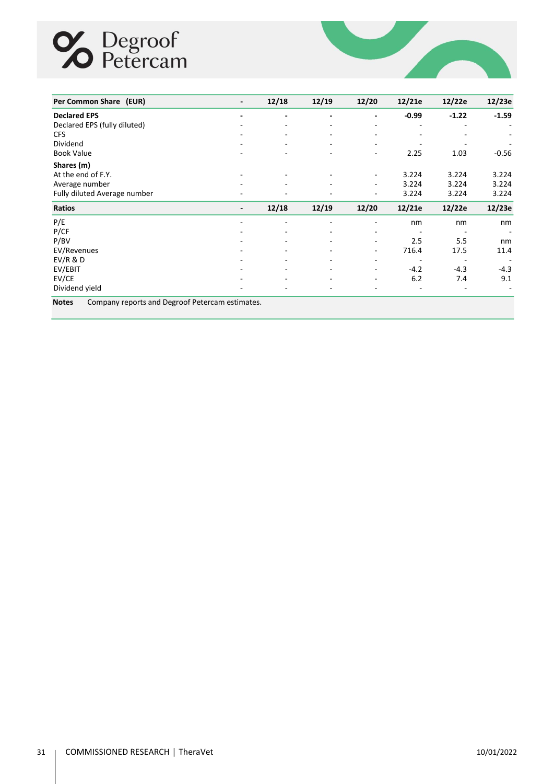## **S** Degroof



| Per Common Share (EUR)       | $\overline{\phantom{a}}$ | 12/18 | 12/19                    | 12/20                    | 12/21e                   | 12/22e  | 12/23e                   |
|------------------------------|--------------------------|-------|--------------------------|--------------------------|--------------------------|---------|--------------------------|
| <b>Declared EPS</b>          |                          | -     | $\overline{\phantom{0}}$ | ٠                        | $-0.99$                  | $-1.22$ | $-1.59$                  |
| Declared EPS (fully diluted) |                          | ٠.    | ۰.                       | $\overline{\phantom{a}}$ |                          |         | $\overline{\phantom{a}}$ |
| <b>CFS</b>                   |                          | Ξ.    | $\overline{\phantom{a}}$ | $\overline{\phantom{a}}$ | ٠                        |         |                          |
| Dividend                     |                          | ٠.    | ۰.                       | ٠                        |                          |         |                          |
| <b>Book Value</b>            |                          |       |                          | ٠                        | 2.25                     | 1.03    | $-0.56$                  |
| Shares (m)                   |                          |       |                          |                          |                          |         |                          |
| At the end of F.Y.           | ٠                        | Ξ.    | ٠                        | $\sim$                   | 3.224                    | 3.224   | 3.224                    |
| Average number               | ۰                        | ٠.    | $\overline{\phantom{0}}$ | $\sim$                   | 3.224                    | 3.224   | 3.224                    |
| Fully diluted Average number |                          |       | ۰                        | ٠                        | 3.224                    | 3.224   | 3.224                    |
| <b>Ratios</b>                | -                        | 12/18 | 12/19                    | 12/20                    | 12/21e                   | 12/22e  | 12/23e                   |
| P/E                          |                          | ۰     | ۰                        | $\overline{\phantom{a}}$ | nm                       | nm      | nm                       |
| P/CF                         |                          | ۰     |                          | ۰                        |                          |         |                          |
| P/BV                         |                          | ٠     | $\overline{\phantom{0}}$ | ٠                        | 2.5                      | 5.5     | nm                       |
| EV/Revenues                  |                          |       | -                        | ٠                        | 716.4                    | 17.5    | 11.4                     |
| EV/R & D                     |                          | ٠     | -                        | ٠                        | $\overline{\phantom{a}}$ |         | $\overline{\phantom{a}}$ |
| EV/EBIT                      |                          | ۰.    | ۰.                       | $\overline{\phantom{a}}$ | $-4.2$                   | $-4.3$  | $-4.3$                   |
| EV/CE                        |                          |       |                          | ٠                        | 6.2                      | 7.4     | 9.1                      |
| Dividend yield               | ۰                        | Ξ.    | ٠                        | ۰                        |                          |         |                          |

**Notes** Company reports and Degroof Petercam estimates.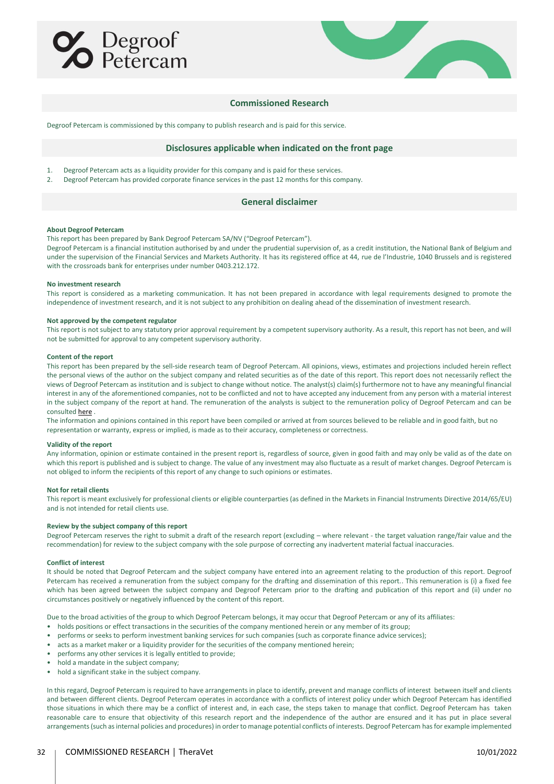



#### **Commissioned Research**

Degroof Petercam is commissioned by this company to publish research and is paid for this service.

#### **Disclosures applicable when indicated on the front page**

- 1. Degroof Petercam acts as a liquidity provider for this company and is paid for these services.<br>2. Degroof Petercam has provided corporate finance services in the past 12 months for this cor
- Degroof Petercam has provided corporate finance services in the past 12 months for this company.

#### **General disclaimer**

#### **About Degroof Petercam**

This report has been prepared by Bank Degroof Petercam SA/NV ("Degroof Petercam").

Degroof Petercam is a financial institution authorised by and under the prudential supervision of, as a credit institution, the National Bank of Belgium and under the supervision of the Financial Services and Markets Authority. It has its registered office at 44, rue de l'Industrie, 1040 Brussels and is registered with the crossroads bank for enterprises under number 0403.212.172.

#### **No investment research**

This report is considered as a marketing communication. It has not been prepared in accordance with legal requirements designed to promote the independence of investment research, and it is not subject to any prohibition on dealing ahead of the dissemination of investment research.

#### **Not approved by the competent regulator**

This report is not subject to any statutory prior approval requirement by a competent supervisory authority. As a result, this report has not been, and will not be submitted for approval to any competent supervisory authority.

#### **Content of the report**

This report has been prepared by the sell-side research team of Degroof Petercam. All opinions, views, estimates and projections included herein reflect the personal views of the author on the subject company and related securities as of the date of this report. This report does not necessarily reflect the views of Degroof Petercam as institution and is subject to change without notice. The analyst(s) claim(s) furthermore not to have any meaningful financial interest in any of the aforementioned companies, not to be conflicted and not to have accepted any inducement from any person with a material interest in the subject company of the report at hand. The remuneration of the analysts is subject to the remuneration policy of Degroof Petercam and can be consulte[d here](https://www.degroofpetercam.com/en-be/general-terms-and-conditions-legal-documentation) .

The information and opinions contained in this report have been compiled or arrived at from sources believed to be reliable and in good faith, but no representation or warranty, express or implied, is made as to their accuracy, completeness or correctness.

#### **Validity of the report**

Any information, opinion or estimate contained in the present report is, regardless of source, given in good faith and may only be valid as of the date on which this report is published and is subject to change. The value of any investment may also fluctuate as a result of market changes. Degroof Petercam is not obliged to inform the recipients of this report of any change to such opinions or estimates.

#### **Not for retail clients**

This report is meant exclusively for professional clients or eligible counterparties (as defined in the Markets in Financial Instruments Directive 2014/65/EU) and is not intended for retail clients use.

#### **Review by the subject company of this report**

Degroof Petercam reserves the right to submit a draft of the research report (excluding – where relevant - the target valuation range/fair value and the recommendation) for review to the subject company with the sole purpose of correcting any inadvertent material factual inaccuracies.

#### **Conflict of interest**

It should be noted that Degroof Petercam and the subject company have entered into an agreement relating to the production of this report. Degroof Petercam has received a remuneration from the subject company for the drafting and dissemination of this report.. This remuneration is (i) a fixed fee which has been agreed between the subject company and Degroof Petercam prior to the drafting and publication of this report and (ii) under no circumstances positively or negatively influenced by the content of this report.

Due to the broad activities of the group to which Degroof Petercam belongs, it may occur that Degroof Petercam or any of its affiliates:

- holds positions or effect transactions in the securities of the company mentioned herein or any member of its group;
- performs or seeks to perform investment banking services for such companies (such as corporate finance advice services);
- acts as a market maker or a liquidity provider for the securities of the company mentioned herein;
- performs any other services it is legally entitled to provide;
- hold a mandate in the subject company;
- hold a significant stake in the subject company.

In this regard, Degroof Petercam is required to have arrangements in place to identify, prevent and manage conflicts of interest between itself and clients and between different clients. Degroof Petercam operates in accordance with a conflicts of interest policy under which Degroof Petercam has identified those situations in which there may be a conflict of interest and, in each case, the steps taken to manage that conflict. Degroof Petercam has taken reasonable care to ensure that objectivity of this research report and the independence of the author are ensured and it has put in place several arrangements (such as internal policies and procedures) in order to manage potential conflicts of interests. Degroof Petercam has for example implemented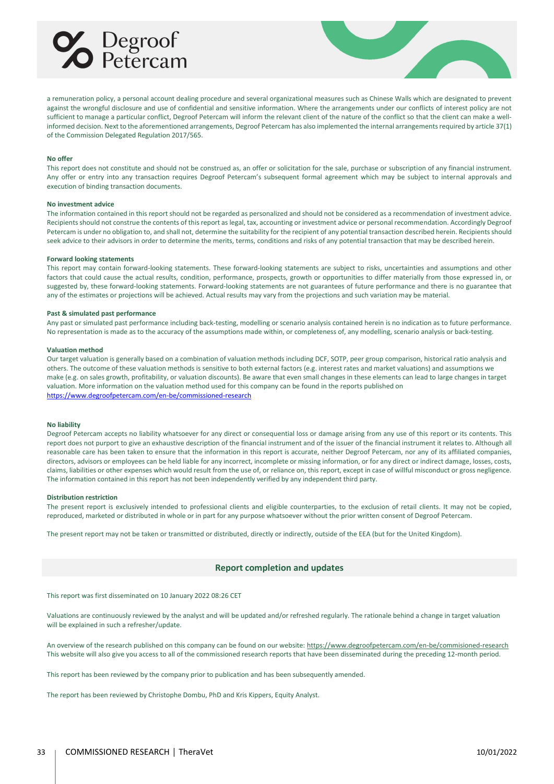



a remuneration policy, a personal account dealing procedure and several organizational measures such as Chinese Walls which are designated to prevent against the wrongful disclosure and use of confidential and sensitive information. Where the arrangements under our conflicts of interest policy are not sufficient to manage a particular conflict, Degroof Petercam will inform the relevant client of the nature of the conflict so that the client can make a wellinformed decision. Next to the aforementioned arrangements, Degroof Petercam has also implemented the internal arrangements required by article 37(1) of the Commission Delegated Regulation 2017/565.

#### **No offer**

This report does not constitute and should not be construed as, an offer or solicitation for the sale, purchase or subscription of any financial instrument. Any offer or entry into any transaction requires Degroof Petercam's subsequent formal agreement which may be subject to internal approvals and execution of binding transaction documents.

#### **No investment advice**

The information contained in this report should not be regarded as personalized and should not be considered as a recommendation of investment advice. Recipients should not construe the contents of this report as legal, tax, accounting or investment advice or personal recommendation. Accordingly Degroof Petercam is under no obligation to, and shall not, determine the suitability for the recipient of any potential transaction described herein. Recipients should seek advice to their advisors in order to determine the merits, terms, conditions and risks of any potential transaction that may be described herein.

#### **Forward looking statements**

This report may contain forward-looking statements. These forward-looking statements are subject to risks, uncertainties and assumptions and other factors that could cause the actual results, condition, performance, prospects, growth or opportunities to differ materially from those expressed in, or suggested by, these forward-looking statements. Forward-looking statements are not guarantees of future performance and there is no guarantee that any of the estimates or projections will be achieved. Actual results may vary from the projections and such variation may be material.

#### **Past & simulated past performance**

Any past or simulated past performance including back-testing, modelling or scenario analysis contained herein is no indication as to future performance. No representation is made as to the accuracy of the assumptions made within, or completeness of, any modelling, scenario analysis or back-testing.

#### **Valuation method**

Our target valuation is generally based on a combination of valuation methods including DCF, SOTP, peer group comparison, historical ratio analysis and others. The outcome of these valuation methods is sensitive to both external factors (e.g. interest rates and market valuations) and assumptions we make (e.g. on sales growth, profitability, or valuation discounts). Be aware that even small changes in these elements can lead to large changes in target valuation. More information on the valuation method used for this company can be found in the reports published on <https://www.degroofpetercam.com/en-be/commissioned-research>

#### **No liability**

Degroof Petercam accepts no liability whatsoever for any direct or consequential loss or damage arising from any use of this report or its contents. This report does not purport to give an exhaustive description of the financial instrument and of the issuer of the financial instrument it relates to. Although all reasonable care has been taken to ensure that the information in this report is accurate, neither Degroof Petercam, nor any of its affiliated companies, directors, advisors or employees can be held liable for any incorrect, incomplete or missing information, or for any direct or indirect damage, losses, costs, claims, liabilities or other expenses which would result from the use of, or reliance on, this report, except in case of willful misconduct or gross negligence. The information contained in this report has not been independently verified by any independent third party.

#### **Distribution restriction**

The present report is exclusively intended to professional clients and eligible counterparties, to the exclusion of retail clients. It may not be copied, reproduced, marketed or distributed in whole or in part for any purpose whatsoever without the prior written consent of Degroof Petercam.

The present report may not be taken or transmitted or distributed, directly or indirectly, outside of the EEA (but for the United Kingdom).

#### **Report completion and updates**

This report was first disseminated on 10 January 2022 08:26 CET

Valuations are continuously reviewed by the analyst and will be updated and/or refreshed regularly. The rationale behind a change in target valuation will be explained in such a refresher/update.

An overview of the research published on this company can be found on our website[: https://www.degroofpetercam.com/en-be/commisioned-research](https://www.degroofpetercam.com/en-be/commisioned-research) This website will also give you access to all of the commissioned research reports that have been disseminated during the preceding 12-month period.

This report has been reviewed by the company prior to publication and has been subsequently amended.

The report has been reviewed by Christophe Dombu, PhD and Kris Kippers, Equity Analyst.